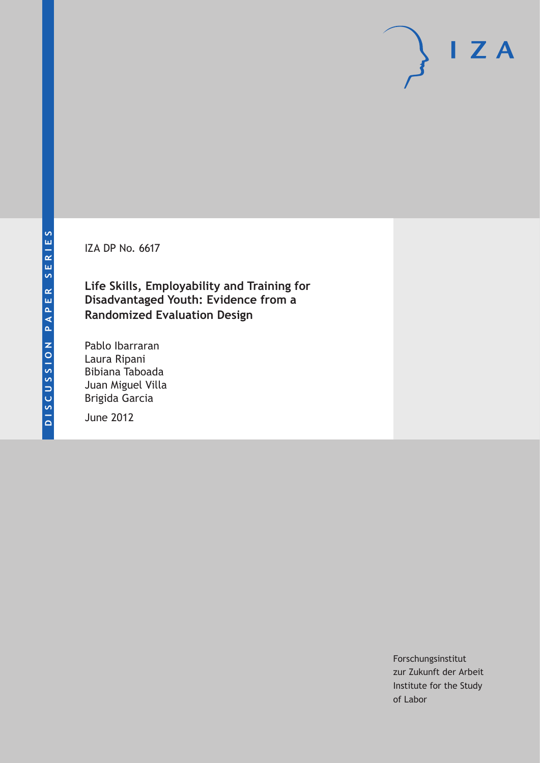IZA DP No. 6617

**Life Skills, Employability and Training for Disadvantaged Youth: Evidence from a Randomized Evaluation Design**

Pablo Ibarraran Laura Ripani Bibiana Taboada Juan Miguel Villa Brigida Garcia

June 2012

Forschungsinstitut zur Zukunft der Arbeit Institute for the Study of Labor

 $I Z A$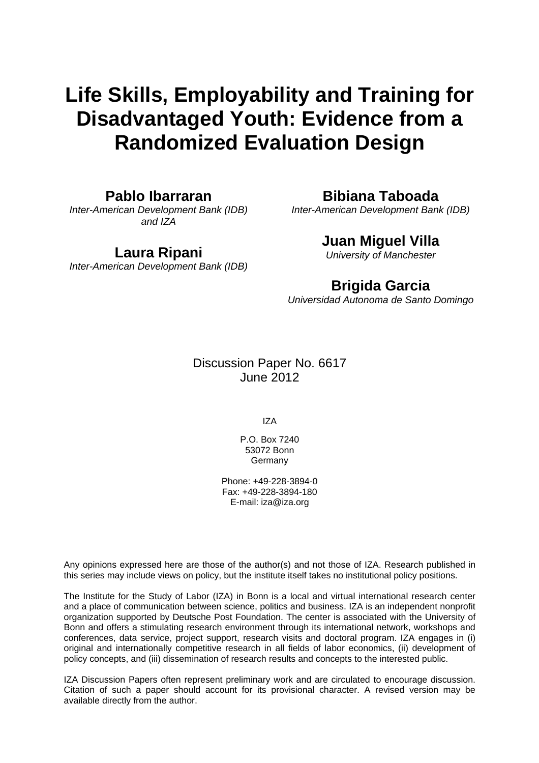# **Life Skills, Employability and Training for Disadvantaged Youth: Evidence from a Randomized Evaluation Design**

# **Pablo Ibarraran**

*Inter-American Development Bank (IDB) and IZA* 

# **Laura Ripani**

*Inter-American Development Bank (IDB)* 

# **Bibiana Taboada**

*Inter-American Development Bank (IDB)* 

# **Juan Miguel Villa**

*University of Manchester* 

# **Brigida Garcia**

*Universidad Autonoma de Santo Domingo* 

# Discussion Paper No. 6617 June 2012

IZA

P.O. Box 7240 53072 Bonn **Germany** 

Phone: +49-228-3894-0 Fax: +49-228-3894-180 E-mail: [iza@iza.org](mailto:iza@iza.org)

Any opinions expressed here are those of the author(s) and not those of IZA. Research published in this series may include views on policy, but the institute itself takes no institutional policy positions.

The Institute for the Study of Labor (IZA) in Bonn is a local and virtual international research center and a place of communication between science, politics and business. IZA is an independent nonprofit organization supported by Deutsche Post Foundation. The center is associated with the University of Bonn and offers a stimulating research environment through its international network, workshops and conferences, data service, project support, research visits and doctoral program. IZA engages in (i) original and internationally competitive research in all fields of labor economics, (ii) development of policy concepts, and (iii) dissemination of research results and concepts to the interested public.

IZA Discussion Papers often represent preliminary work and are circulated to encourage discussion. Citation of such a paper should account for its provisional character. A revised version may be available directly from the author.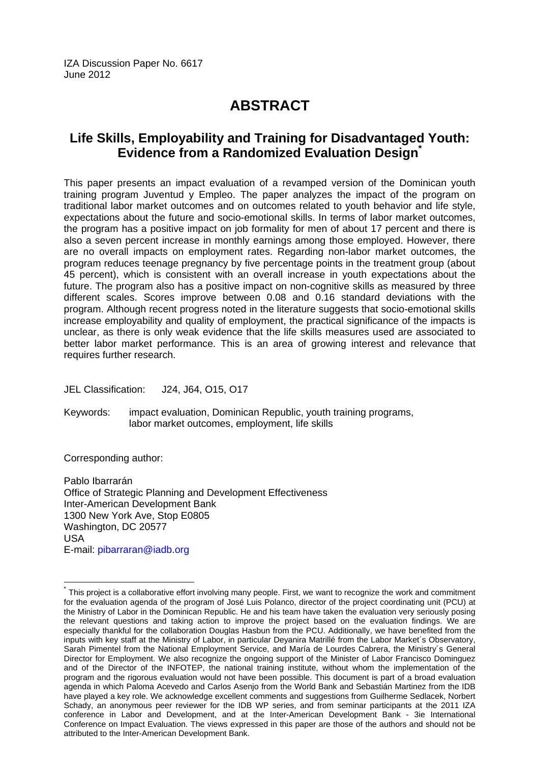IZA Discussion Paper No. 6617 June 2012

# **ABSTRACT**

# **Life Skills, Employability and Training for Disadvantaged Youth: Evidence from a Randomized Evaluation Design[\\*](#page-2-0)**

This paper presents an impact evaluation of a revamped version of the Dominican youth training program Juventud y Empleo. The paper analyzes the impact of the program on traditional labor market outcomes and on outcomes related to youth behavior and life style, expectations about the future and socio-emotional skills. In terms of labor market outcomes, the program has a positive impact on job formality for men of about 17 percent and there is also a seven percent increase in monthly earnings among those employed. However, there are no overall impacts on employment rates. Regarding non-labor market outcomes, the program reduces teenage pregnancy by five percentage points in the treatment group (about 45 percent), which is consistent with an overall increase in youth expectations about the future. The program also has a positive impact on non-cognitive skills as measured by three different scales. Scores improve between 0.08 and 0.16 standard deviations with the program. Although recent progress noted in the literature suggests that socio-emotional skills increase employability and quality of employment, the practical significance of the impacts is unclear, as there is only weak evidence that the life skills measures used are associated to better labor market performance. This is an area of growing interest and relevance that requires further research.

JEL Classification: J24, J64, O15, O17

Keywords: impact evaluation, Dominican Republic, youth training programs, labor market outcomes, employment, life skills

Corresponding author:

 $\overline{\phantom{a}}$ 

Pablo Ibarrarán Office of Strategic Planning and Development Effectiveness Inter-American Development Bank 1300 New York Ave, Stop E0805 Washington, DC 20577 USA E-mail: [pibarraran@iadb.org](mailto:pibarraran@iadb.org) 

<span id="page-2-0"></span> $^*$  This proiect is a collaborative effort involving many people. First, we want to recognize the work and commitment for the evaluation agenda of the program of José Luis Polanco, director of the project coordinating unit (PCU) at the Ministry of Labor in the Dominican Republic. He and his team have taken the evaluation very seriously posing the relevant questions and taking action to improve the project based on the evaluation findings. We are especially thankful for the collaboration Douglas Hasbun from the PCU. Additionally, we have benefited from the inputs with key staff at the Ministry of Labor, in particular Deyanira Matrillé from the Labor Market´s Observatory, Sarah Pimentel from the National Employment Service, and María de Lourdes Cabrera, the Ministry´s General Director for Employment. We also recognize the ongoing support of the Minister of Labor Francisco Dominguez and of the Director of the INFOTEP, the national training institute, without whom the implementation of the program and the rigorous evaluation would not have been possible. This document is part of a broad evaluation agenda in which Paloma Acevedo and Carlos Asenjo from the World Bank and Sebastián Martinez from the IDB have played a key role. We acknowledge excellent comments and suggestions from Guilherme Sedlacek, Norbert Schady, an anonymous peer reviewer for the IDB WP series, and from seminar participants at the 2011 IZA conference in Labor and Development, and at the Inter-American Development Bank - 3ie International Conference on Impact Evaluation. The views expressed in this paper are those of the authors and should not be attributed to the Inter-American Development Bank.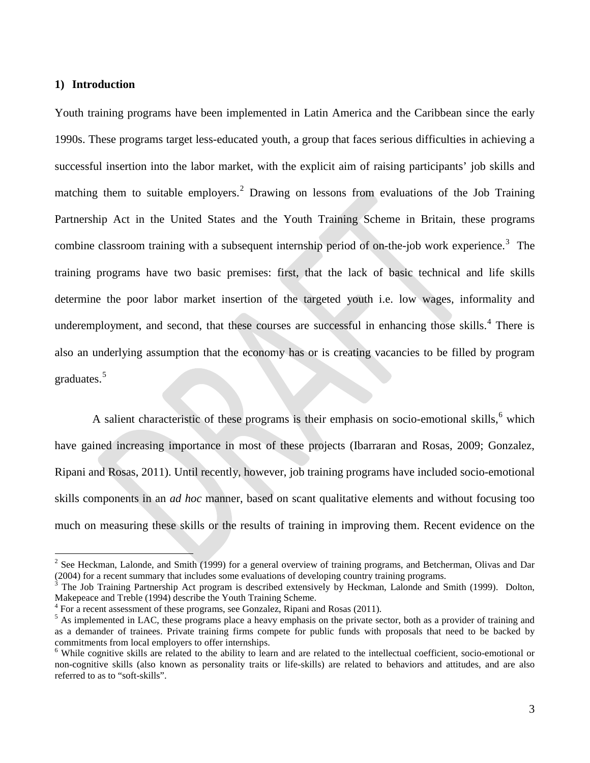#### **1) Introduction**

Youth training programs have been implemented in Latin America and the Caribbean since the early 1990s. These programs target less-educated youth, a group that faces serious difficulties in achieving a successful insertion into the labor market, with the explicit aim of raising participants' job skills and matching them to suitable employers.<sup>[2](#page-3-0)</sup> Drawing on lessons from evaluations of the Job Training Partnership Act in the United States and the Youth Training Scheme in Britain, these programs combine classroom training with a subsequent internship period of on-the-job work experience.<sup>[3](#page-3-1)</sup> The training programs have two basic premises: first, that the lack of basic technical and life skills determine the poor labor market insertion of the targeted youth i.e. low wages, informality and underemployment, and second, that these courses are successful in enhancing those skills.<sup>[4](#page-3-2)</sup> There is also an underlying assumption that the economy has or is creating vacancies to be filled by program graduates. [5](#page-3-3)

A salient characteristic of these programs is their emphasis on socio-emotional skills, $<sup>6</sup>$  $<sup>6</sup>$  $<sup>6</sup>$  which</sup> have gained increasing importance in most of these projects (Ibarraran and Rosas, 2009; Gonzalez, Ripani and Rosas, 2011). Until recently, however, job training programs have included socio-emotional skills components in an *ad hoc* manner, based on scant qualitative elements and without focusing too much on measuring these skills or the results of training in improving them. Recent evidence on the

<span id="page-3-0"></span> $2^2$  See Heckman, Lalonde, and Smith (1999) for a general overview of training programs, and Betcherman, Olivas and Dar (2004) for a recent summary that includes some evaluations of developing country training programs.

<span id="page-3-1"></span><sup>3</sup> The Job Training Partnership Act program is described extensively by Heckman, Lalonde and Smith (1999). Dolton, Makepeace and Treble (1994) describe the Youth Training Scheme.

<span id="page-3-2"></span> $4$  For a recent assessment of these programs, see Gonzalez, Ripani and Rosas (2011).

<span id="page-3-3"></span><sup>&</sup>lt;sup>5</sup> As implemented in LAC, these programs place a heavy emphasis on the private sector, both as a provider of training and as a demander of trainees. Private training firms compete for public funds with proposals that need to be backed by commitments from local employers to offer internships.

<span id="page-3-4"></span><sup>&</sup>lt;sup>6</sup> While cognitive skills are related to the ability to learn and are related to the intellectual coefficient, socio-emotional or non-cognitive skills (also known as personality traits or life-skills) are related to behaviors and attitudes, and are also referred to as to "soft-skills".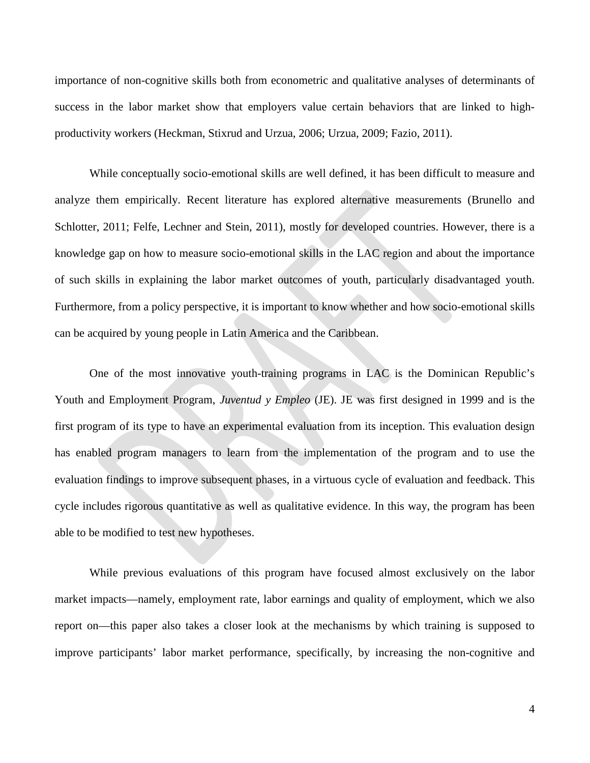importance of non-cognitive skills both from econometric and qualitative analyses of determinants of success in the labor market show that employers value certain behaviors that are linked to highproductivity workers (Heckman, Stixrud and Urzua, 2006; Urzua, 2009; Fazio, 2011).

While conceptually socio-emotional skills are well defined, it has been difficult to measure and analyze them empirically. Recent literature has explored alternative measurements (Brunello and Schlotter, 2011; Felfe, Lechner and Stein, 2011), mostly for developed countries. However, there is a knowledge gap on how to measure socio-emotional skills in the LAC region and about the importance of such skills in explaining the labor market outcomes of youth, particularly disadvantaged youth. Furthermore, from a policy perspective, it is important to know whether and how socio-emotional skills can be acquired by young people in Latin America and the Caribbean.

One of the most innovative youth-training programs in LAC is the Dominican Republic's Youth and Employment Program, *Juventud y Empleo* (JE). JE was first designed in 1999 and is the first program of its type to have an experimental evaluation from its inception. This evaluation design has enabled program managers to learn from the implementation of the program and to use the evaluation findings to improve subsequent phases, in a virtuous cycle of evaluation and feedback. This cycle includes rigorous quantitative as well as qualitative evidence. In this way, the program has been able to be modified to test new hypotheses.

While previous evaluations of this program have focused almost exclusively on the labor market impacts—namely, employment rate, labor earnings and quality of employment, which we also report on—this paper also takes a closer look at the mechanisms by which training is supposed to improve participants' labor market performance, specifically, by increasing the non-cognitive and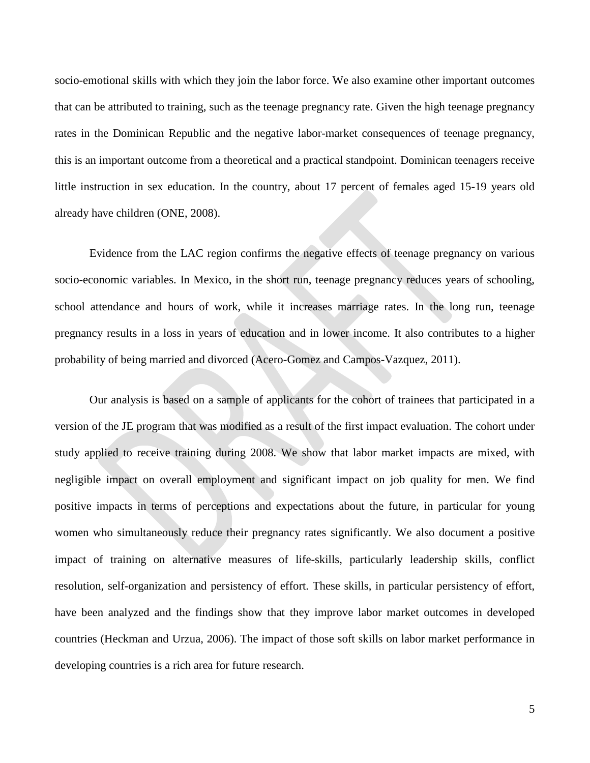socio-emotional skills with which they join the labor force. We also examine other important outcomes that can be attributed to training, such as the teenage pregnancy rate. Given the high teenage pregnancy rates in the Dominican Republic and the negative labor-market consequences of teenage pregnancy, this is an important outcome from a theoretical and a practical standpoint. Dominican teenagers receive little instruction in sex education. In the country, about 17 percent of females aged 15-19 years old already have children (ONE, 2008).

Evidence from the LAC region confirms the negative effects of teenage pregnancy on various socio-economic variables. In Mexico, in the short run, teenage pregnancy reduces years of schooling, school attendance and hours of work, while it increases marriage rates. In the long run, teenage pregnancy results in a loss in years of education and in lower income. It also contributes to a higher probability of being married and divorced (Acero-Gomez and Campos-Vazquez, 2011).

Our analysis is based on a sample of applicants for the cohort of trainees that participated in a version of the JE program that was modified as a result of the first impact evaluation. The cohort under study applied to receive training during 2008. We show that labor market impacts are mixed, with negligible impact on overall employment and significant impact on job quality for men. We find positive impacts in terms of perceptions and expectations about the future, in particular for young women who simultaneously reduce their pregnancy rates significantly. We also document a positive impact of training on alternative measures of life-skills, particularly leadership skills, conflict resolution, self-organization and persistency of effort. These skills, in particular persistency of effort, have been analyzed and the findings show that they improve labor market outcomes in developed countries (Heckman and Urzua, 2006). The impact of those soft skills on labor market performance in developing countries is a rich area for future research.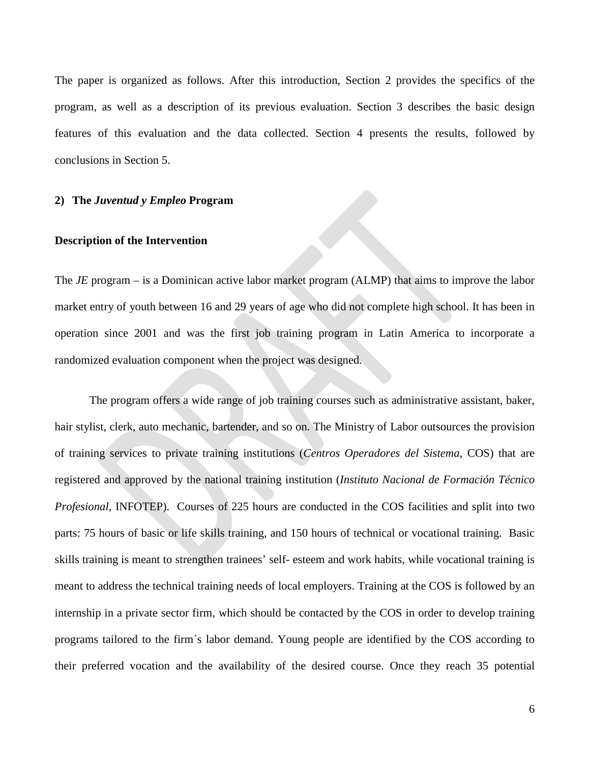The paper is organized as follows. After this introduction, Section 2 provides the specifics of the program, as well as a description of its previous evaluation. Section 3 describes the basic design features of this evaluation and the data collected. Section 4 presents the results, followed by conclusions in Section 5.

#### **2) The** *Juventud y Empleo* **Program**

#### **Description of the Intervention**

The *JE* program – is a Dominican active labor market program (ALMP) that aims to improve the labor market entry of youth between 16 and 29 years of age who did not complete high school. It has been in operation since 2001 and was the first job training program in Latin America to incorporate a randomized evaluation component when the project was designed.

The program offers a wide range of job training courses such as administrative assistant, baker, hair stylist, clerk, auto mechanic, bartender, and so on. The Ministry of Labor outsources the provision of training services to private training institutions (*Centros Operadores del Sistema*, COS) that are registered and approved by the national training institution (*Instituto Nacional de Formación Técnico Profesional*, INFOTEP). Courses of 225 hours are conducted in the COS facilities and split into two parts: 75 hours of basic or life skills training, and 150 hours of technical or vocational training. Basic skills training is meant to strengthen trainees' self- esteem and work habits, while vocational training is meant to address the technical training needs of local employers. Training at the COS is followed by an internship in a private sector firm, which should be contacted by the COS in order to develop training programs tailored to the firm´s labor demand. Young people are identified by the COS according to their preferred vocation and the availability of the desired course. Once they reach 35 potential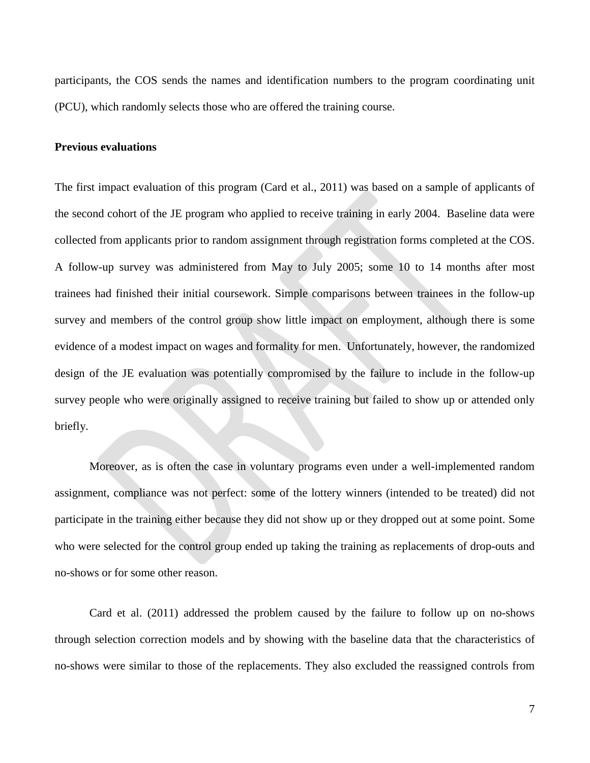participants, the COS sends the names and identification numbers to the program coordinating unit (PCU), which randomly selects those who are offered the training course.

#### **Previous evaluations**

The first impact evaluation of this program (Card et al., 2011) was based on a sample of applicants of the second cohort of the JE program who applied to receive training in early 2004. Baseline data were collected from applicants prior to random assignment through registration forms completed at the COS. A follow-up survey was administered from May to July 2005; some 10 to 14 months after most trainees had finished their initial coursework. Simple comparisons between trainees in the follow-up survey and members of the control group show little impact on employment, although there is some evidence of a modest impact on wages and formality for men. Unfortunately, however, the randomized design of the JE evaluation was potentially compromised by the failure to include in the follow-up survey people who were originally assigned to receive training but failed to show up or attended only briefly.

Moreover, as is often the case in voluntary programs even under a well-implemented random assignment, compliance was not perfect: some of the lottery winners (intended to be treated) did not participate in the training either because they did not show up or they dropped out at some point. Some who were selected for the control group ended up taking the training as replacements of drop-outs and no-shows or for some other reason.

Card et al. (2011) addressed the problem caused by the failure to follow up on no-shows through selection correction models and by showing with the baseline data that the characteristics of no-shows were similar to those of the replacements. They also excluded the reassigned controls from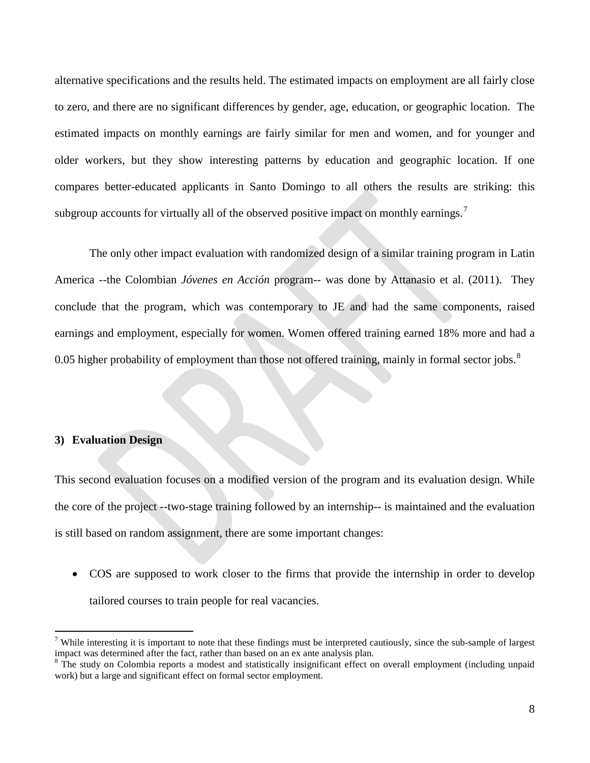alternative specifications and the results held. The estimated impacts on employment are all fairly close to zero, and there are no significant differences by gender, age, education, or geographic location. The estimated impacts on monthly earnings are fairly similar for men and women, and for younger and older workers, but they show interesting patterns by education and geographic location. If one compares better-educated applicants in Santo Domingo to all others the results are striking: this subgroup accounts for virtually all of the observed positive impact on monthly earnings.<sup>[7](#page-8-0)</sup>

The only other impact evaluation with randomized design of a similar training program in Latin America --the Colombian *Jóvenes en Acción* program-- was done by Attanasio et al. (2011). They conclude that the program, which was contemporary to JE and had the same components, raised earnings and employment, especially for women. Women offered training earned 18% more and had a 0.05 higher probability of employment than those not offered training, mainly in formal sector jobs.<sup>[8](#page-8-1)</sup>

#### **3) Evaluation Design**

This second evaluation focuses on a modified version of the program and its evaluation design. While the core of the project --two-stage training followed by an internship-- is maintained and the evaluation is still based on random assignment, there are some important changes:

• COS are supposed to work closer to the firms that provide the internship in order to develop tailored courses to train people for real vacancies.

<span id="page-8-0"></span><sup>&</sup>lt;sup>7</sup> While interesting it is important to note that these findings must be interpreted cautiously, since the sub-sample of largest impact was determined after the fact, rather than based on an ex ante analysis plan.

<span id="page-8-1"></span><sup>&</sup>lt;sup>8</sup> The study on Colombia reports a modest and statistically insignificant effect on overall employment (including unpaid work) but a large and significant effect on formal sector employment.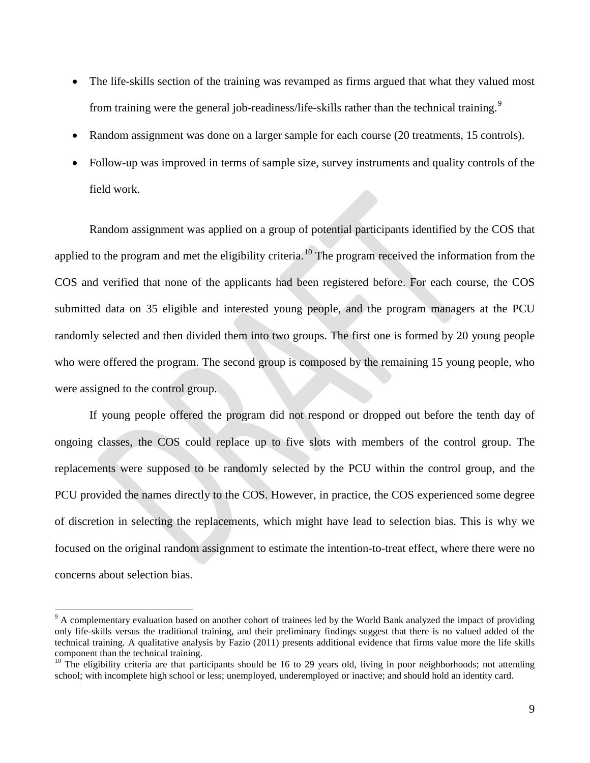- The life-skills section of the training was revamped as firms argued that what they valued most from training were the general job-readiness/life-skills rather than the technical training.<sup>[9](#page-9-0)</sup>
- Random assignment was done on a larger sample for each course (20 treatments, 15 controls).
- Follow-up was improved in terms of sample size, survey instruments and quality controls of the field work.

Random assignment was applied on a group of potential participants identified by the COS that applied to the program and met the eligibility criteria.<sup>[10](#page-9-1)</sup> The program received the information from the COS and verified that none of the applicants had been registered before. For each course, the COS submitted data on 35 eligible and interested young people, and the program managers at the PCU randomly selected and then divided them into two groups. The first one is formed by 20 young people who were offered the program. The second group is composed by the remaining 15 young people, who were assigned to the control group.

If young people offered the program did not respond or dropped out before the tenth day of ongoing classes, the COS could replace up to five slots with members of the control group. The replacements were supposed to be randomly selected by the PCU within the control group, and the PCU provided the names directly to the COS. However, in practice, the COS experienced some degree of discretion in selecting the replacements, which might have lead to selection bias. This is why we focused on the original random assignment to estimate the intention-to-treat effect, where there were no concerns about selection bias.

<span id="page-9-0"></span> $9<sup>9</sup>$  A complementary evaluation based on another cohort of trainees led by the World Bank analyzed the impact of providing only life-skills versus the traditional training, and their preliminary findings suggest that there is no valued added of the technical training. A qualitative analysis by Fazio (2011) presents additional evidence that firms value more the life skills component than the technical training.

<span id="page-9-1"></span> $10$  The eligibility criteria are that participants should be 16 to 29 years old, living in poor neighborhoods; not attending school; with incomplete high school or less; unemployed, underemployed or inactive; and should hold an identity card.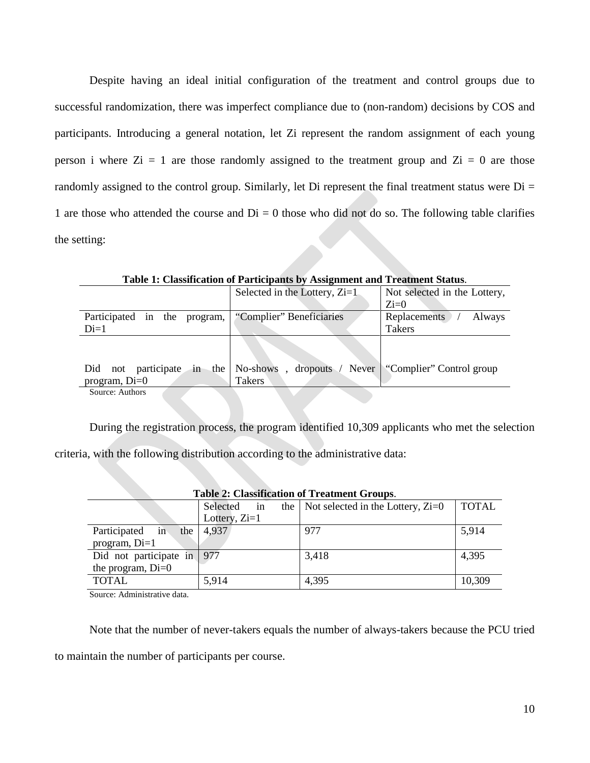Despite having an ideal initial configuration of the treatment and control groups due to successful randomization, there was imperfect compliance due to (non-random) decisions by COS and participants. Introducing a general notation, let Zi represent the random assignment of each young person i where  $Z_i = 1$  are those randomly assigned to the treatment group and  $Z_i = 0$  are those randomly assigned to the control group. Similarly, let Di represent the final treatment status were  $Di =$ 1 are those who attended the course and  $Di = 0$  those who did not do so. The following table clarifies the setting:

|                                    | Table 1. Classification of Farticipants by Assignment and Treatment Status. |                               |
|------------------------------------|-----------------------------------------------------------------------------|-------------------------------|
|                                    | Selected in the Lottery, $Zi=1$ .                                           | Not selected in the Lottery,  |
|                                    |                                                                             | $Z_i=0$                       |
| Participated<br>in the<br>program, | "Complier" Beneficiaries                                                    | <b>Replacements</b><br>Always |
| $Di=1$                             |                                                                             | <b>Takers</b>                 |
| not participate<br>$in$ the<br>Did | No-shows<br>, dropouts<br>Never                                             | "Complier" Control group      |
| program, $Di=0$                    | <b>Takers</b>                                                               |                               |
| Source: Authors                    |                                                                             |                               |

**Table 1: Classification of Participants by Assignment and Treatment Status**.

During the registration process, the program identified 10,309 applicants who met the selection criteria, with the following distribution according to the administrative data:

| <b>Table 2: Classification of Treatment Groups.</b> |                                     |              |  |  |  |  |  |
|-----------------------------------------------------|-------------------------------------|--------------|--|--|--|--|--|
| Selected<br>1n                                      | Not selected in the Lottery, $Zi=0$ | <b>TOTAL</b> |  |  |  |  |  |
| Lottery, $Zi=1$                                     |                                     |              |  |  |  |  |  |
| 4,937<br>the                                        | 977                                 | 5,914        |  |  |  |  |  |
|                                                     |                                     |              |  |  |  |  |  |
| Did not participate in   977                        | 3,418                               | 4,395        |  |  |  |  |  |
|                                                     |                                     |              |  |  |  |  |  |
| 5,914                                               | 4,395                               | 10,309       |  |  |  |  |  |
|                                                     |                                     | the          |  |  |  |  |  |

Source: Administrative data.

Note that the number of never-takers equals the number of always-takers because the PCU tried

to maintain the number of participants per course.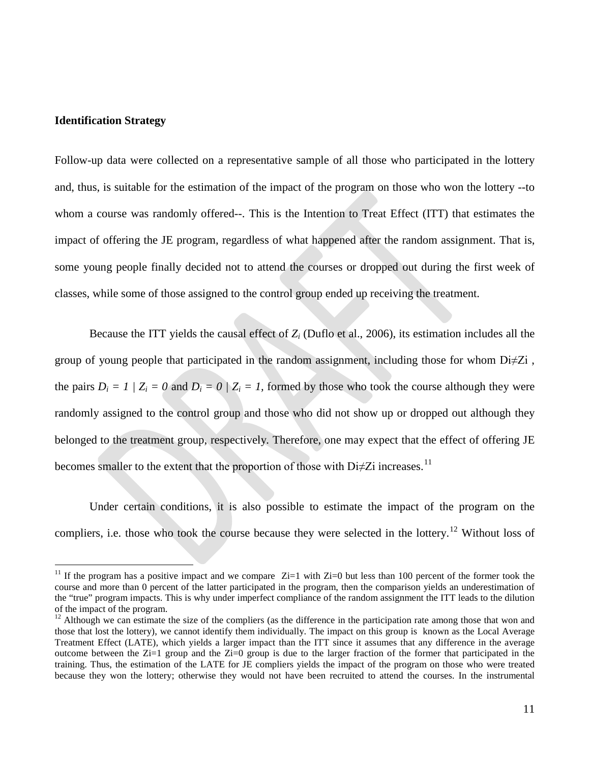#### **Identification Strategy**

Follow-up data were collected on a representative sample of all those who participated in the lottery and, thus, is suitable for the estimation of the impact of the program on those who won the lottery --to whom a course was randomly offered--. This is the Intention to Treat Effect (ITT) that estimates the impact of offering the JE program, regardless of what happened after the random assignment. That is, some young people finally decided not to attend the courses or dropped out during the first week of classes, while some of those assigned to the control group ended up receiving the treatment.

Because the ITT yields the causal effect of *Zi* (Duflo et al., 2006), its estimation includes all the group of young people that participated in the random assignment, including those for whom  $Di \neq Zi$ , the pairs  $D_i = 1 / Z_i = 0$  and  $D_i = 0 / Z_i = 1$ , formed by those who took the course although they were randomly assigned to the control group and those who did not show up or dropped out although they belonged to the treatment group, respectively*.* Therefore, one may expect that the effect of offering JE becomes smaller to the extent that the proportion of those with  $Di\neq Zi$  increases.<sup>[11](#page-11-0)</sup>

Under certain conditions, it is also possible to estimate the impact of the program on the compliers, i.e. those who took the course because they were selected in the lottery.<sup>[12](#page-11-1)</sup> Without loss of

<span id="page-11-0"></span><sup>&</sup>lt;sup>11</sup> If the program has a positive impact and we compare  $Z_i=1$  with  $Z_i=0$  but less than 100 percent of the former took the course and more than 0 percent of the latter participated in the program, then the comparison yields an underestimation of the "true" program impacts. This is why under imperfect compliance of the random assignment the ITT leads to the dilution of the impact of the program.

<span id="page-11-1"></span> $12$  Although we can estimate the size of the compliers (as the difference in the participation rate among those that won and those that lost the lottery), we cannot identify them individually. The impact on this group is known as the Local Average Treatment Effect (LATE), which yields a larger impact than the ITT since it assumes that any difference in the average outcome between the  $Z_i=1$  group and the  $Z_i=0$  group is due to the larger fraction of the former that participated in the training. Thus, the estimation of the LATE for JE compliers yields the impact of the program on those who were treated because they won the lottery; otherwise they would not have been recruited to attend the courses. In the instrumental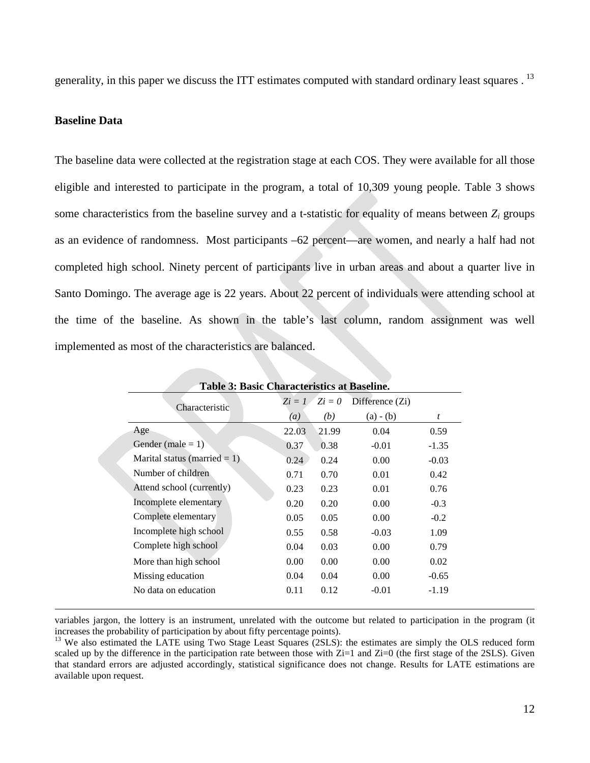generality, in this paper we discuss the ITT estimates computed with standard ordinary least squares  $1<sup>3</sup>$ 

#### **Baseline Data**

The baseline data were collected at the registration stage at each COS. They were available for all those eligible and interested to participate in the program, a total of 10,309 young people. Table 3 shows some characteristics from the baseline survey and a t-statistic for equality of means between *Zi* groups as an evidence of randomness. Most participants –62 percent—are women, and nearly a half had not completed high school. Ninety percent of participants live in urban areas and about a quarter live in Santo Domingo. The average age is 22 years. About 22 percent of individuals were attending school at the time of the baseline. As shown in the table's last column, random assignment was well implemented as most of the characteristics are balanced.

| Table 3: Basic Characteristics at Baseline. |                   |           |                 |         |  |  |  |
|---------------------------------------------|-------------------|-----------|-----------------|---------|--|--|--|
| Characteristic                              | $Z_i = I$         | $Z_i = 0$ | Difference (Zi) |         |  |  |  |
|                                             | $\left( a\right)$ | (b)       | $(a) - (b)$     | t       |  |  |  |
| Age                                         | 22.03             | 21.99     | 0.04            | 0.59    |  |  |  |
| Gender (male = $1$ )                        | 0.37              | 0.38      | $-0.01$         | $-1.35$ |  |  |  |
| Marital status (married $= 1$ )             | 0.24              | 0.24      | 0.00            | $-0.03$ |  |  |  |
| Number of children                          | 0.71              | 0.70      | 0.01            | 0.42    |  |  |  |
| Attend school (currently)                   | 0.23              | 0.23      | 0.01            | 0.76    |  |  |  |
| Incomplete elementary                       | 0.20              | 0.20      | 0.00            | $-0.3$  |  |  |  |
| Complete elementary                         | 0.05              | 0.05      | 0.00            | $-0.2$  |  |  |  |
| Incomplete high school                      | 0.55              | 0.58      | $-0.03$         | 1.09    |  |  |  |
| Complete high school                        | 0.04              | 0.03      | 0.00            | 0.79    |  |  |  |
| More than high school                       | 0.00              | 0.00      | 0.00            | 0.02    |  |  |  |
| Missing education                           | 0.04              | 0.04      | 0.00            | $-0.65$ |  |  |  |
| No data on education                        | 0.11              | 0.12      | $-0.01$         | $-1.19$ |  |  |  |
|                                             |                   |           |                 |         |  |  |  |

 variables jargon, the lottery is an instrument, unrelated with the outcome but related to participation in the program (it increases the probability of participation by about fifty percentage points).<br><sup>13</sup> We also estimated the LATE using Two Stage Least Squares (2SLS): the estimates are simply the OLS reduced form

<span id="page-12-0"></span>scaled up by the difference in the participation rate between those with  $Z_i=1$  and  $Z_i=0$  (the first stage of the 2SLS). Given that standard errors are adjusted accordingly, statistical significance does not change. Results for LATE estimations are available upon request.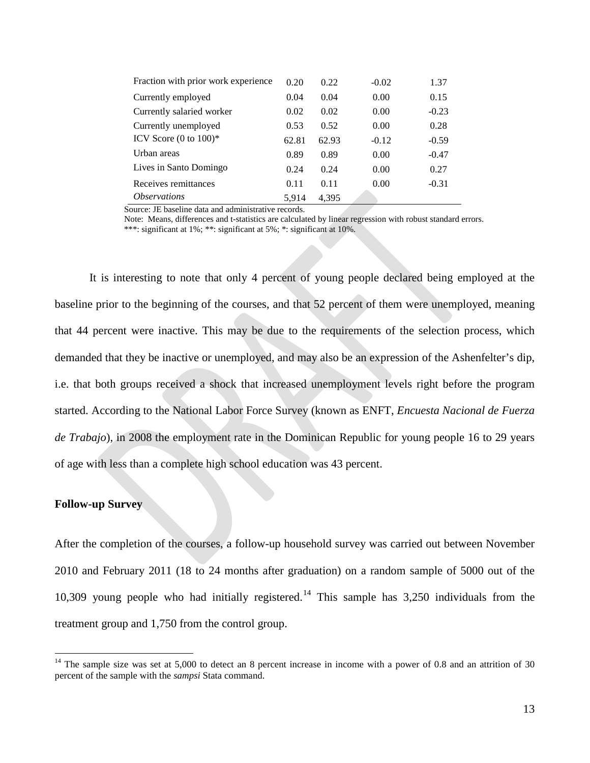| Fraction with prior work experience | 0.20  | 0.22  | $-0.02$ | 1.37    |
|-------------------------------------|-------|-------|---------|---------|
| Currently employed                  | 0.04  | 0.04  | 0.00    | 0.15    |
| Currently salaried worker           | 0.02  | 0.02  | 0.00    | $-0.23$ |
| Currently unemployed                | 0.53  | 0.52  | 0.00    | 0.28    |
| ICV Score $(0 \text{ to } 100)^*$   | 62.81 | 62.93 | $-0.12$ | $-0.59$ |
| Urban areas                         | 0.89  | 0.89  | 0.00    | $-0.47$ |
| Lives in Santo Domingo              | 0.24  | 0.24  | 0.00    | 0.27    |
| Receives remittances                | 0.11  | 0.11  | 0.00    | $-0.31$ |
| <i><b>Observations</b></i>          | 5.914 | 4.395 |         |         |

Source: JE baseline data and administrative records.

Note: Means, differences and t-statistics are calculated by linear regression with robust standard errors. \*\*\*: significant at 1%; \*\*: significant at 5%; \*: significant at 10%.

It is interesting to note that only 4 percent of young people declared being employed at the baseline prior to the beginning of the courses, and that 52 percent of them were unemployed, meaning that 44 percent were inactive. This may be due to the requirements of the selection process, which demanded that they be inactive or unemployed, and may also be an expression of the Ashenfelter's dip, i.e. that both groups received a shock that increased unemployment levels right before the program started. According to the National Labor Force Survey (known as ENFT, *Encuesta Nacional de Fuerza de Trabajo*), in 2008 the employment rate in the Dominican Republic for young people 16 to 29 years of age with less than a complete high school education was 43 percent.

#### **Follow-up Survey**

After the completion of the courses, a follow-up household survey was carried out between November 2010 and February 2011 (18 to 24 months after graduation) on a random sample of 5000 out of the 10,309 young people who had initially registered. [14](#page-13-0) This sample has 3,250 individuals from the treatment group and 1,750 from the control group.

<span id="page-13-0"></span> $14$  The sample size was set at 5,000 to detect an 8 percent increase in income with a power of 0.8 and an attrition of 30 percent of the sample with the *sampsi* Stata command.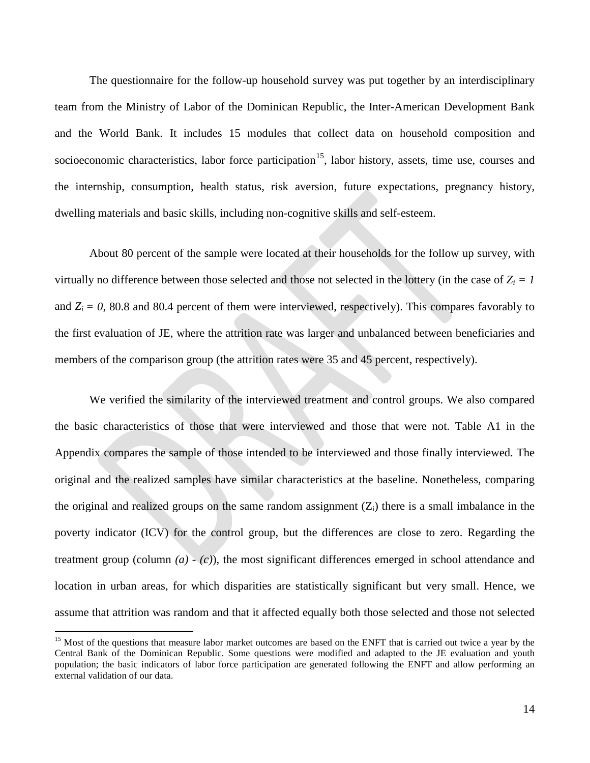The questionnaire for the follow-up household survey was put together by an interdisciplinary team from the Ministry of Labor of the Dominican Republic, the Inter-American Development Bank and the World Bank. It includes 15 modules that collect data on household composition and socioeconomic characteristics, labor force participation<sup>[15](#page-14-0)</sup>, labor history, assets, time use, courses and the internship, consumption, health status, risk aversion, future expectations, pregnancy history, dwelling materials and basic skills, including non-cognitive skills and self-esteem.

About 80 percent of the sample were located at their households for the follow up survey, with virtually no difference between those selected and those not selected in the lottery (in the case of  $Z_i = I$ and  $Z_i = 0$ , 80.8 and 80.4 percent of them were interviewed, respectively). This compares favorably to the first evaluation of JE, where the attrition rate was larger and unbalanced between beneficiaries and members of the comparison group (the attrition rates were 35 and 45 percent, respectively).

We verified the similarity of the interviewed treatment and control groups. We also compared the basic characteristics of those that were interviewed and those that were not. Table A1 in the Appendix compares the sample of those intended to be interviewed and those finally interviewed. The original and the realized samples have similar characteristics at the baseline. Nonetheless, comparing the original and realized groups on the same random assignment  $(Z_i)$  there is a small imbalance in the poverty indicator (ICV) for the control group, but the differences are close to zero. Regarding the treatment group (column *(a) - (c)*), the most significant differences emerged in school attendance and location in urban areas, for which disparities are statistically significant but very small. Hence, we assume that attrition was random and that it affected equally both those selected and those not selected

<span id="page-14-0"></span><sup>&</sup>lt;sup>15</sup> Most of the questions that measure labor market outcomes are based on the ENFT that is carried out twice a year by the Central Bank of the Dominican Republic. Some questions were modified and adapted to the JE evaluation and youth population; the basic indicators of labor force participation are generated following the ENFT and allow performing an external validation of our data.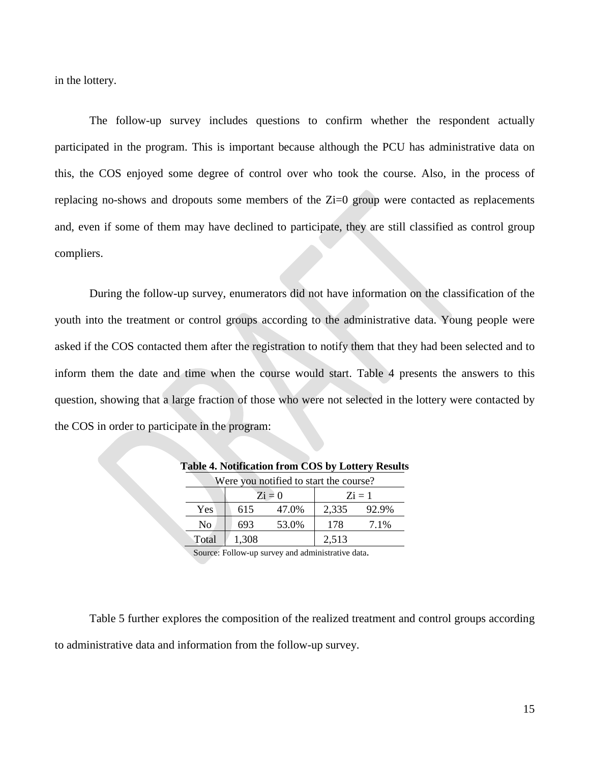in the lottery.

The follow-up survey includes questions to confirm whether the respondent actually participated in the program. This is important because although the PCU has administrative data on this, the COS enjoyed some degree of control over who took the course. Also, in the process of replacing no-shows and dropouts some members of the Zi=0 group were contacted as replacements and, even if some of them may have declined to participate, they are still classified as control group compliers.

During the follow-up survey, enumerators did not have information on the classification of the youth into the treatment or control groups according to the administrative data. Young people were asked if the COS contacted them after the registration to notify them that they had been selected and to inform them the date and time when the course would start. Table 4 presents the answers to this question, showing that a large fraction of those who were not selected in the lottery were contacted by the COS in order to participate in the program:

| well you hourled to start the course: |       |                      |           |       |  |  |  |
|---------------------------------------|-------|----------------------|-----------|-------|--|--|--|
|                                       |       | $\overline{z}$ i = 0 | $Z_i = 1$ |       |  |  |  |
| Yes                                   | 615   | 47.0%                | 2,335     | 92.9% |  |  |  |
| No                                    | 693   | 53.0%                | 178       | 7.1%  |  |  |  |
| Total                                 | 1,308 |                      | 2,513     |       |  |  |  |

|  | Table 4. Notification from COS by Lottery Results |  |  |
|--|---------------------------------------------------|--|--|
|  | Ware you potitied to start the course?            |  |  |

Source: Follow-up survey and administrative data.

Table 5 further explores the composition of the realized treatment and control groups according to administrative data and information from the follow-up survey.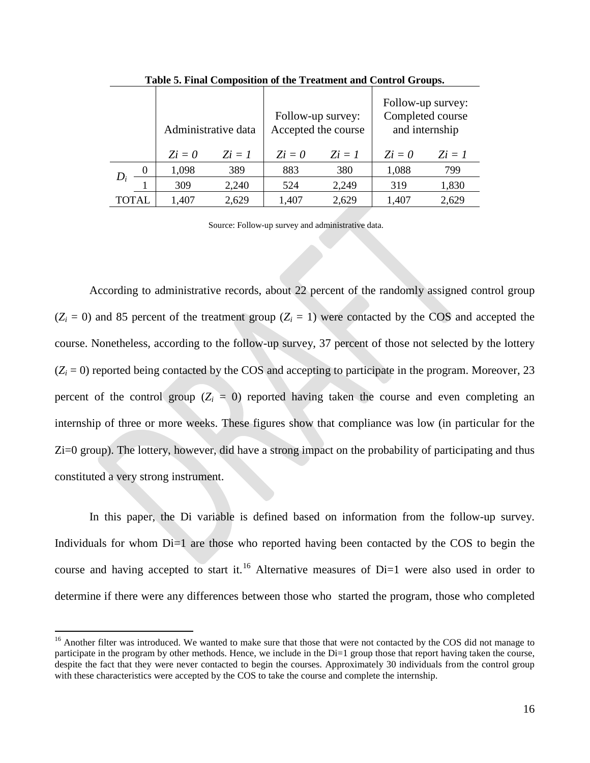|       |          | Administrative data |           |           | Follow-up survey:<br>Accepted the course | Follow-up survey:<br>Completed course<br>and internship |           |  |
|-------|----------|---------------------|-----------|-----------|------------------------------------------|---------------------------------------------------------|-----------|--|
|       |          | $Z_i = 0$           | $Z_i = 1$ | $Z_i = 0$ | $Z_i = I$                                | $Z_i = 0$                                               | $Z_i = I$ |  |
|       | $\theta$ | 1,098               | 389       | 883       | 380                                      | 1,088                                                   | 799       |  |
|       |          | 309                 | 2,240     | 524       | 2,249                                    | 319                                                     | 1,830     |  |
| TOTAL |          | 1,407               | 2,629     | 1,407     | 2,629                                    | 1,407                                                   | 2,629     |  |

**Table 5. Final Composition of the Treatment and Control Groups.**

Source: Follow-up survey and administrative data.

According to administrative records, about 22 percent of the randomly assigned control group  $(Z_i = 0)$  and 85 percent of the treatment group  $(Z_i = 1)$  were contacted by the COS and accepted the course. Nonetheless, according to the follow-up survey, 37 percent of those not selected by the lottery  $(Z<sub>i</sub> = 0)$  reported being contacted by the COS and accepting to participate in the program. Moreover, 23 percent of the control group  $(Z<sub>i</sub> = 0)$  reported having taken the course and even completing an internship of three or more weeks. These figures show that compliance was low (in particular for the Zi=0 group). The lottery, however, did have a strong impact on the probability of participating and thus constituted a very strong instrument.

In this paper, the Di variable is defined based on information from the follow-up survey. Individuals for whom Di=1 are those who reported having been contacted by the COS to begin the course and having accepted to start it.<sup>[16](#page-16-0)</sup> Alternative measures of Di=1 were also used in order to determine if there were any differences between those who started the program, those who completed

<span id="page-16-0"></span><sup>&</sup>lt;sup>16</sup> Another filter was introduced. We wanted to make sure that those that were not contacted by the COS did not manage to participate in the program by other methods. Hence, we include in the Di=1 group those that report having taken the course, despite the fact that they were never contacted to begin the courses. Approximately 30 individuals from the control group with these characteristics were accepted by the COS to take the course and complete the internship.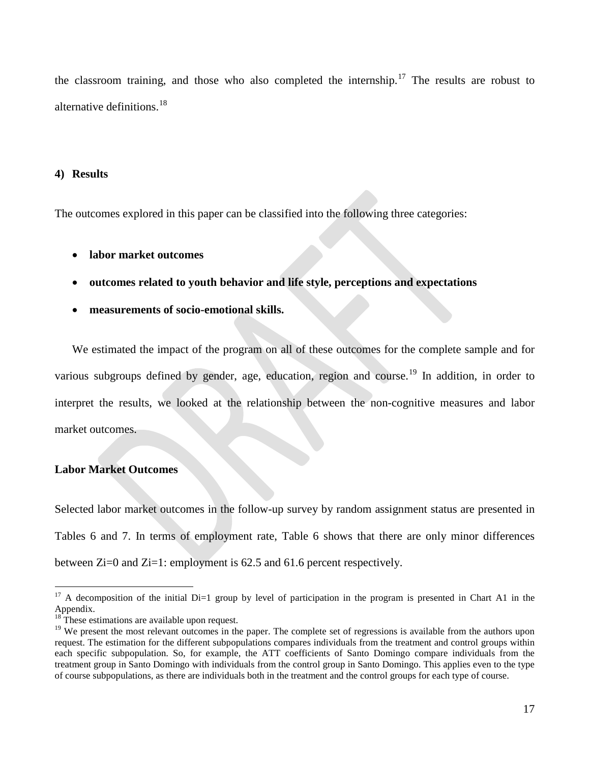the classroom training, and those who also completed the internship.<sup>[17](#page-17-0)</sup> The results are robust to alternative definitions.<sup>[18](#page-17-1)</sup>

#### **4) Results**

The outcomes explored in this paper can be classified into the following three categories:

- **labor market outcomes**
- **outcomes related to youth behavior and life style, perceptions and expectations**
- **measurements of socio-emotional skills.**

We estimated the impact of the program on all of these outcomes for the complete sample and for various subgroups defined by gender, age, education, region and course.<sup>[19](#page-17-2)</sup> In addition, in order to interpret the results, we looked at the relationship between the non-cognitive measures and labor market outcomes.

#### **Labor Market Outcomes**

Selected labor market outcomes in the follow-up survey by random assignment status are presented in Tables 6 and 7. In terms of employment rate, Table 6 shows that there are only minor differences between Zi=0 and Zi=1: employment is 62.5 and 61.6 percent respectively.

<span id="page-17-0"></span> $17$  A decomposition of the initial Di=1 group by level of participation in the program is presented in Chart A1 in the Appendix.

<span id="page-17-1"></span> $18$ <sup>18</sup> These estimations are available upon request.

<span id="page-17-2"></span><sup>&</sup>lt;sup>19</sup> We present the most relevant outcomes in the paper. The complete set of regressions is available from the authors upon request. The estimation for the different subpopulations compares individuals from the treatment and control groups within each specific subpopulation. So, for example, the ATT coefficients of Santo Domingo compare individuals from the treatment group in Santo Domingo with individuals from the control group in Santo Domingo. This applies even to the type of course subpopulations, as there are individuals both in the treatment and the control groups for each type of course.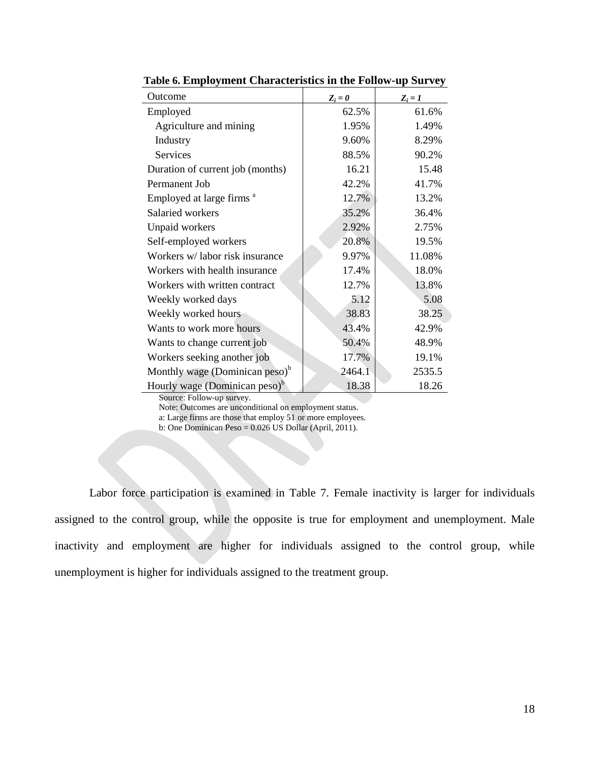| Outcome                                    | $Z_i = 0$ | $Z_i = 1$ |
|--------------------------------------------|-----------|-----------|
| Employed                                   | 62.5%     | 61.6%     |
| Agriculture and mining                     | 1.95%     | 1.49%     |
| Industry                                   | 9.60%     | 8.29%     |
| Services                                   | 88.5%     | 90.2%     |
| Duration of current job (months)           | 16.21     | 15.48     |
| Permanent Job                              | 42.2%     | 41.7%     |
| Employed at large firms <sup>a</sup>       | 12.7%     | 13.2%     |
| Salaried workers                           | 35.2%     | 36.4%     |
| Unpaid workers                             | 2.92%     | 2.75%     |
| Self-employed workers                      | 20.8%     | 19.5%     |
| Workers w/labor risk insurance             | 9.97%     | 11.08%    |
| Workers with health insurance              | 17.4%     | 18.0%     |
| Workers with written contract              | 12.7%     | 13.8%     |
| Weekly worked days                         | 5.12      | 5.08      |
| Weekly worked hours                        | 38.83     | 38.25     |
| Wants to work more hours                   | 43.4%     | 42.9%     |
| Wants to change current job                | 50.4%     | 48.9%     |
| Workers seeking another job                | 17.7%     | 19.1%     |
| Monthly wage (Dominican peso) <sup>b</sup> | 2464.1    | 2535.5    |
| Hourly wage (Dominican peso) <sup>b</sup>  | 18.38     | 18.26     |

**Table 6. Employment Characteristics in the Follow-up Survey**

Source: Follow-up survey.

Note: Outcomes are unconditional on employment status.

a: Large firms are those that employ 51 or more employees.

b: One Dominican Peso = 0.026 US Dollar (April, 2011).

Labor force participation is examined in Table 7. Female inactivity is larger for individuals assigned to the control group, while the opposite is true for employment and unemployment. Male inactivity and employment are higher for individuals assigned to the control group, while unemployment is higher for individuals assigned to the treatment group.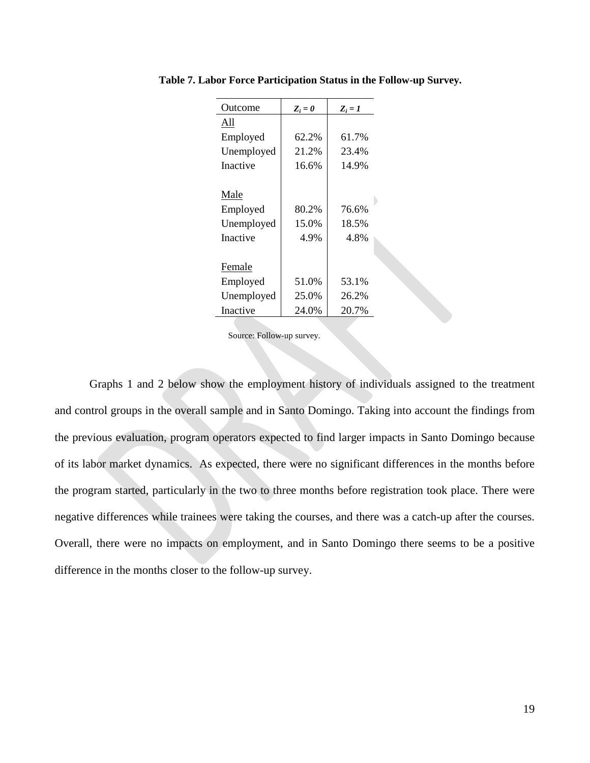| Outcome    | $Z_i = 0$ | $Z_i = I$ |
|------------|-----------|-----------|
| All        |           |           |
| Employed   | 62.2%     | 61.7%     |
| Unemployed | 21.2%     | 23.4%     |
| Inactive   | 16.6%     | 14.9%     |
|            |           |           |
| Male       |           |           |
| Employed   | 80.2%     | 76.6%     |
| Unemployed | 15.0%     | 18.5%     |
| Inactive   | 4.9%      | 4.8%      |
|            |           |           |
| Female     |           |           |
| Employed   | 51.0%     | 53.1%     |
| Unemployed | 25.0%     | 26.2%     |
| Inactive   | 24.0%     | 20.7%     |

**Table 7. Labor Force Participation Status in the Follow-up Survey.**

Source: Follow-up survey.

Graphs 1 and 2 below show the employment history of individuals assigned to the treatment and control groups in the overall sample and in Santo Domingo. Taking into account the findings from the previous evaluation, program operators expected to find larger impacts in Santo Domingo because of its labor market dynamics. As expected, there were no significant differences in the months before the program started, particularly in the two to three months before registration took place. There were negative differences while trainees were taking the courses, and there was a catch-up after the courses. Overall, there were no impacts on employment, and in Santo Domingo there seems to be a positive difference in the months closer to the follow-up survey.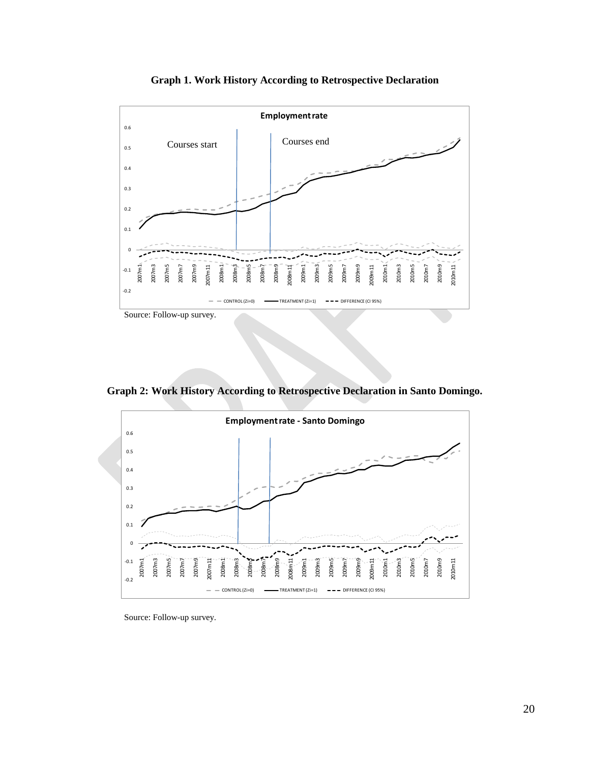

**Graph 1. Work History According to Retrospective Declaration**

**Graph 2: Work History According to Retrospective Declaration in Santo Domingo.**



Source: Follow-up survey.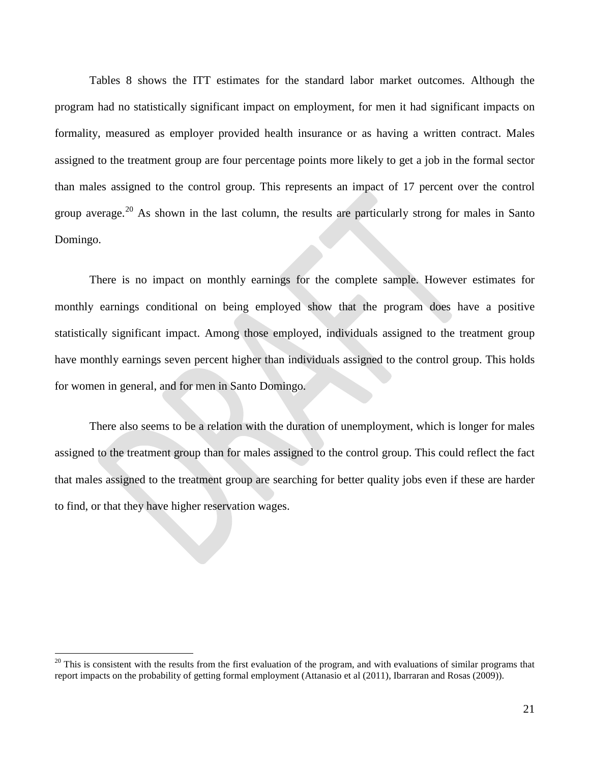Tables 8 shows the ITT estimates for the standard labor market outcomes. Although the program had no statistically significant impact on employment, for men it had significant impacts on formality, measured as employer provided health insurance or as having a written contract. Males assigned to the treatment group are four percentage points more likely to get a job in the formal sector than males assigned to the control group. This represents an impact of 17 percent over the control group average.<sup>[20](#page-21-0)</sup> As shown in the last column, the results are particularly strong for males in Santo Domingo.

There is no impact on monthly earnings for the complete sample. However estimates for monthly earnings conditional on being employed show that the program does have a positive statistically significant impact. Among those employed, individuals assigned to the treatment group have monthly earnings seven percent higher than individuals assigned to the control group. This holds for women in general, and for men in Santo Domingo.

There also seems to be a relation with the duration of unemployment, which is longer for males assigned to the treatment group than for males assigned to the control group. This could reflect the fact that males assigned to the treatment group are searching for better quality jobs even if these are harder to find, or that they have higher reservation wages.

<span id="page-21-0"></span> $20$  This is consistent with the results from the first evaluation of the program, and with evaluations of similar programs that report impacts on the probability of getting formal employment (Attanasio et al (2011), Ibarraran and Rosas (2009)).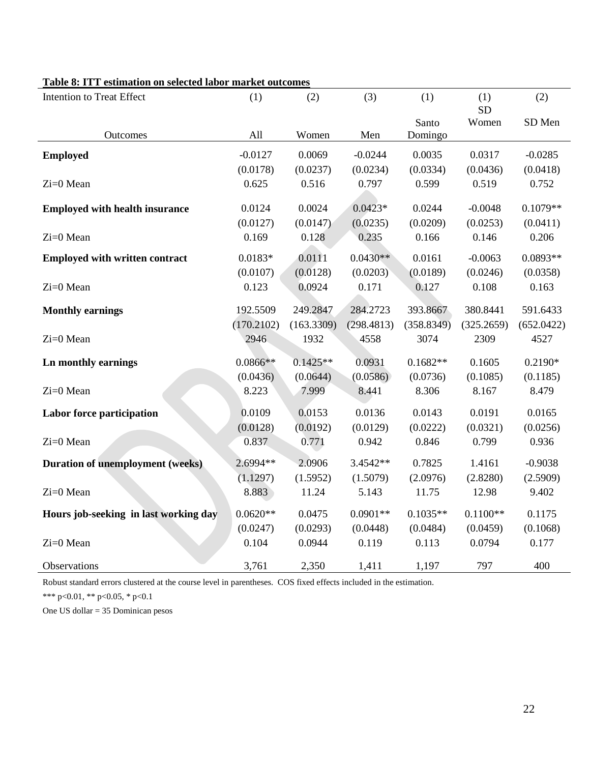| <b>Intention to Treat Effect</b>        | (1)        | (2)        | (3)        | (1)              | (1)        | (2)        |
|-----------------------------------------|------------|------------|------------|------------------|------------|------------|
|                                         |            |            |            |                  | <b>SD</b>  |            |
| Outcomes                                | All        | Women      | Men        | Santo<br>Domingo | Women      | SD Men     |
|                                         |            |            |            |                  |            |            |
| <b>Employed</b>                         | $-0.0127$  | 0.0069     | $-0.0244$  | 0.0035           | 0.0317     | $-0.0285$  |
|                                         | (0.0178)   | (0.0237)   | (0.0234)   | (0.0334)         | (0.0436)   | (0.0418)   |
| Zi=0 Mean                               | 0.625      | 0.516      | 0.797      | 0.599            | 0.519      | 0.752      |
| <b>Employed with health insurance</b>   | 0.0124     | 0.0024     | $0.0423*$  | 0.0244           | $-0.0048$  | $0.1079**$ |
|                                         | (0.0127)   | (0.0147)   | (0.0235)   | (0.0209)         | (0.0253)   | (0.0411)   |
| Zi=0 Mean                               | 0.169      | 0.128      | 0.235      | 0.166            | 0.146      | 0.206      |
|                                         |            |            |            |                  |            |            |
| <b>Employed with written contract</b>   | $0.0183*$  | 0.0111     | $0.0430**$ | 0.0161           | $-0.0063$  | $0.0893**$ |
|                                         | (0.0107)   | (0.0128)   | (0.0203)   | (0.0189)         | (0.0246)   | (0.0358)   |
| Zi=0 Mean                               | 0.123      | 0.0924     | 0.171      | 0.127            | 0.108      | 0.163      |
| <b>Monthly earnings</b>                 | 192.5509   | 249.2847   | 284.2723   | 393.8667         | 380.8441   | 591.6433   |
|                                         | (170.2102) | (163.3309) | (298.4813) | (358.8349)       | (325.2659) | (652.0422) |
| Zi=0 Mean                               | 2946       | 1932       | 4558       | 3074             | 2309       | 4527       |
| Ln monthly earnings                     | $0.0866**$ | $0.1425**$ | 0.0931     | $0.1682**$       | 0.1605     | $0.2190*$  |
|                                         | (0.0436)   | (0.0644)   | (0.0586)   | (0.0736)         | (0.1085)   | (0.1185)   |
| Zi=0 Mean                               | 8.223      | 7.999      | 8.441      | 8.306            | 8.167      | 8.479      |
| Labor force participation               | 0.0109     | 0.0153     | 0.0136     | 0.0143           | 0.0191     | 0.0165     |
|                                         | (0.0128)   | (0.0192)   | (0.0129)   | (0.0222)         | (0.0321)   | (0.0256)   |
| Zi=0 Mean                               | 0.837      | 0.771      | 0.942      | 0.846            | 0.799      | 0.936      |
| <b>Duration of unemployment (weeks)</b> | 2.6994**   | 2.0906     | 3.4542**   | 0.7825           | 1.4161     | $-0.9038$  |
|                                         | (1.1297)   | (1.5952)   | (1.5079)   | (2.0976)         | (2.8280)   | (2.5909)   |
| Zi=0 Mean                               | 8.883      | 11.24      | 5.143      | 11.75            | 12.98      | 9.402      |
| Hours job-seeking in last working day   | $0.0620**$ | 0.0475     | $0.0901**$ | $0.1035**$       | $0.1100**$ | 0.1175     |
|                                         | (0.0247)   | (0.0293)   | (0.0448)   | (0.0484)         | (0.0459)   | (0.1068)   |
| Zi=0 Mean                               | 0.104      | 0.0944     | 0.119      | 0.113            | 0.0794     | 0.177      |
| Observations                            | 3,761      | 2,350      | 1,411      | 1,197            | 797        | 400        |

#### **Table 8: ITT estimation on selected labor market outcomes**

Robust standard errors clustered at the course level in parentheses. COS fixed effects included in the estimation.

\*\*\* p<0.01, \*\* p<0.05, \* p<0.1

One US dollar = 35 Dominican pesos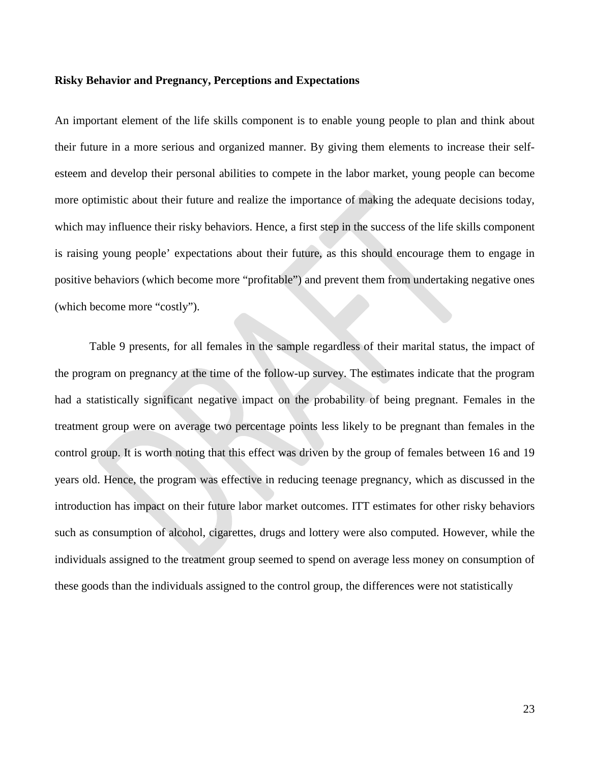#### **Risky Behavior and Pregnancy, Perceptions and Expectations**

An important element of the life skills component is to enable young people to plan and think about their future in a more serious and organized manner. By giving them elements to increase their selfesteem and develop their personal abilities to compete in the labor market, young people can become more optimistic about their future and realize the importance of making the adequate decisions today, which may influence their risky behaviors. Hence, a first step in the success of the life skills component is raising young people' expectations about their future, as this should encourage them to engage in positive behaviors (which become more "profitable") and prevent them from undertaking negative ones (which become more "costly").

Table 9 presents, for all females in the sample regardless of their marital status, the impact of the program on pregnancy at the time of the follow-up survey. The estimates indicate that the program had a statistically significant negative impact on the probability of being pregnant. Females in the treatment group were on average two percentage points less likely to be pregnant than females in the control group. It is worth noting that this effect was driven by the group of females between 16 and 19 years old. Hence, the program was effective in reducing teenage pregnancy, which as discussed in the introduction has impact on their future labor market outcomes. ITT estimates for other risky behaviors such as consumption of alcohol, cigarettes, drugs and lottery were also computed. However, while the individuals assigned to the treatment group seemed to spend on average less money on consumption of these goods than the individuals assigned to the control group, the differences were not statistically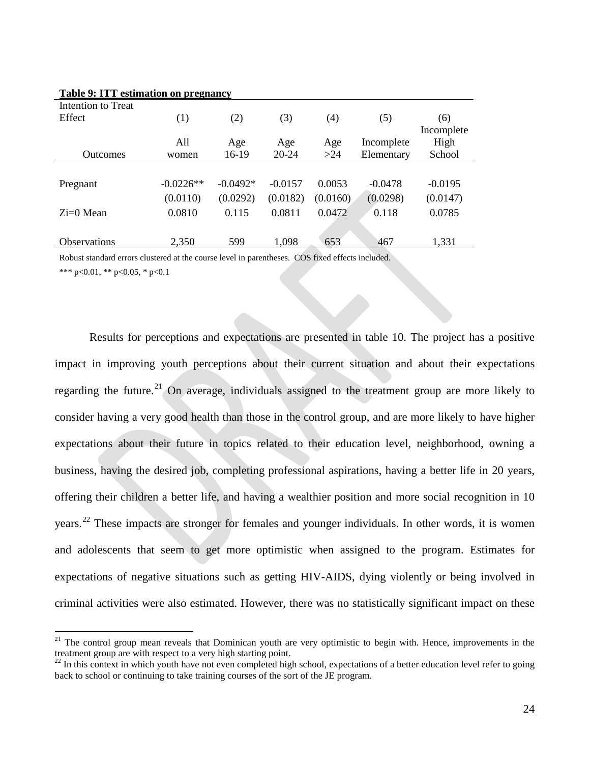| Table 9: ITT estimation on pregnancy |             |            |           |          |            |            |
|--------------------------------------|-------------|------------|-----------|----------|------------|------------|
| Intention to Treat                   |             |            |           |          |            |            |
| Effect                               | (1)         | (2)        | (3)       | (4)      | (5)        | (6)        |
|                                      |             |            |           |          |            | Incomplete |
|                                      | All         | Age        | Age       | Age      | Incomplete | High       |
| <b>Outcomes</b>                      | women       | 16-19      | 20-24     | >24      | Elementary | School     |
|                                      |             |            |           |          |            |            |
| Pregnant                             | $-0.0226**$ | $-0.0492*$ | $-0.0157$ | 0.0053   | $-0.0478$  | $-0.0195$  |
|                                      | (0.0110)    | (0.0292)   | (0.0182)  | (0.0160) | (0.0298)   | (0.0147)   |
| $Zi=0$ Mean                          | 0.0810      | 0.115      | 0.0811    | 0.0472   | 0.118      | 0.0785     |
|                                      |             |            |           |          |            |            |
| Observations                         | 2,350       | 599        | 1,098     | 653      | 467        | 1,331      |

#### **Table 9: ITT estimation on pregnancy**

Robust standard errors clustered at the course level in parentheses. COS fixed effects included. \*\*\* p<0.01, \*\* p<0.05, \* p<0.1

Results for perceptions and expectations are presented in table 10. The project has a positive impact in improving youth perceptions about their current situation and about their expectations regarding the future.<sup>[21](#page-24-0)</sup> On average, individuals assigned to the treatment group are more likely to consider having a very good health than those in the control group, and are more likely to have higher expectations about their future in topics related to their education level, neighborhood, owning a business, having the desired job, completing professional aspirations, having a better life in 20 years, offering their children a better life, and having a wealthier position and more social recognition in 10 years.<sup>[22](#page-24-1)</sup> These impacts are stronger for females and younger individuals. In other words, it is women and adolescents that seem to get more optimistic when assigned to the program. Estimates for expectations of negative situations such as getting HIV-AIDS, dying violently or being involved in criminal activities were also estimated. However, there was no statistically significant impact on these

<span id="page-24-0"></span><sup>&</sup>lt;sup>21</sup> The control group mean reveals that Dominican youth are very optimistic to begin with. Hence, improvements in the treatment group are with respect to a very high starting point.

<span id="page-24-1"></span> $^{22}$  In this context in which youth have not even completed high school, expectations of a better education level refer to going back to school or continuing to take training courses of the sort of the JE program.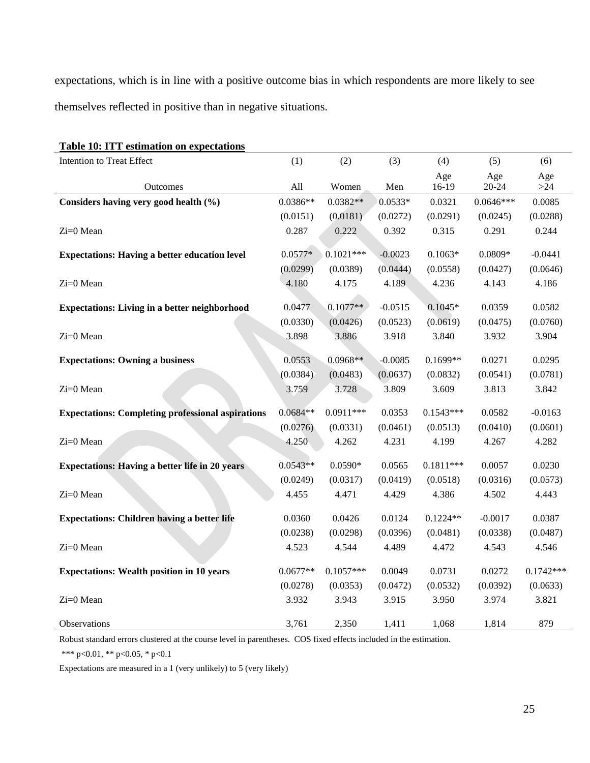expectations, which is in line with a positive outcome bias in which respondents are more likely to see themselves reflected in positive than in negative situations.

| Table 10: ITT estimation on expectations                 |            |             |           |             |             |             |
|----------------------------------------------------------|------------|-------------|-----------|-------------|-------------|-------------|
| Intention to Treat Effect                                | (1)        | (2)         | (3)       | (4)         | (5)         | (6)         |
|                                                          |            |             |           | Age         | Age         | Age         |
| Outcomes                                                 | All        | Women       | Men       | 16-19       | $20 - 24$   | $>24$       |
| Considers having very good health (%)                    | $0.0386**$ | $0.0382**$  | $0.0533*$ | 0.0321      | $0.0646***$ | 0.0085      |
|                                                          | (0.0151)   | (0.0181)    | (0.0272)  | (0.0291)    | (0.0245)    | (0.0288)    |
| Zi=0 Mean                                                | 0.287      | 0.222       | 0.392     | 0.315       | 0.291       | 0.244       |
| <b>Expectations: Having a better education level</b>     | $0.0577*$  | $0.1021***$ | $-0.0023$ | $0.1063*$   | $0.0809*$   | $-0.0441$   |
|                                                          | (0.0299)   | (0.0389)    | (0.0444)  | (0.0558)    | (0.0427)    | (0.0646)    |
| Zi=0 Mean                                                | 4.180      | 4.175       | 4.189     | 4.236       | 4.143       | 4.186       |
|                                                          |            |             |           |             |             |             |
| <b>Expectations: Living in a better neighborhood</b>     | 0.0477     | $0.1077**$  | $-0.0515$ | $0.1045*$   | 0.0359      | 0.0582      |
|                                                          | (0.0330)   | (0.0426)    | (0.0523)  | (0.0619)    | (0.0475)    | (0.0760)    |
| Zi=0 Mean                                                | 3.898      | 3.886       | 3.918     | 3.840       | 3.932       | 3.904       |
|                                                          |            |             |           |             |             |             |
| <b>Expectations: Owning a business</b>                   | 0.0553     | $0.0968**$  | $-0.0085$ | $0.1699**$  | 0.0271      | 0.0295      |
|                                                          | (0.0384)   | (0.0483)    | (0.0637)  | (0.0832)    | (0.0541)    | (0.0781)    |
| Zi=0 Mean                                                | 3.759      | 3.728       | 3.809     | 3.609       | 3.813       | 3.842       |
| <b>Expectations: Completing professional aspirations</b> | $0.0684**$ | $0.0911***$ | 0.0353    | $0.1543***$ | 0.0582      | $-0.0163$   |
|                                                          | (0.0276)   | (0.0331)    | (0.0461)  | (0.0513)    | (0.0410)    | (0.0601)    |
| Zi=0 Mean                                                | 4.250      | 4.262       | 4.231     | 4.199       | 4.267       | 4.282       |
|                                                          |            |             |           |             |             |             |
| <b>Expectations: Having a better life in 20 years</b>    | $0.0543**$ | $0.0590*$   | 0.0565    | $0.1811***$ | 0.0057      | 0.0230      |
|                                                          | (0.0249)   | (0.0317)    | (0.0419)  | (0.0518)    | (0.0316)    | (0.0573)    |
| Zi=0 Mean                                                | 4.455      | 4.471       | 4.429     | 4.386       | 4.502       | 4.443       |
| <b>Expectations: Children having a better life</b>       | 0.0360     | 0.0426      | 0.0124    | $0.1224**$  | $-0.0017$   | 0.0387      |
|                                                          | (0.0238)   | (0.0298)    | (0.0396)  | (0.0481)    | (0.0338)    | (0.0487)    |
| Zi=0 Mean                                                | 4.523      | 4.544       | 4.489     | 4.472       | 4.543       | 4.546       |
|                                                          |            |             |           |             |             |             |
| <b>Expectations: Wealth position in 10 years</b>         | $0.0677**$ | $0.1057***$ | 0.0049    | 0.0731      | 0.0272      | $0.1742***$ |
|                                                          | (0.0278)   | (0.0353)    | (0.0472)  | (0.0532)    | (0.0392)    | (0.0633)    |
| Zi=0 Mean                                                | 3.932      | 3.943       | 3.915     | 3.950       | 3.974       | 3.821       |
|                                                          |            |             |           |             |             |             |
| Observations                                             | 3,761      | 2,350       | 1,411     | 1,068       | 1,814       | 879         |

Robust standard errors clustered at the course level in parentheses. COS fixed effects included in the estimation.

\*\*\* p<0.01, \*\* p<0.05, \* p<0.1

Expectations are measured in a 1 (very unlikely) to 5 (very likely)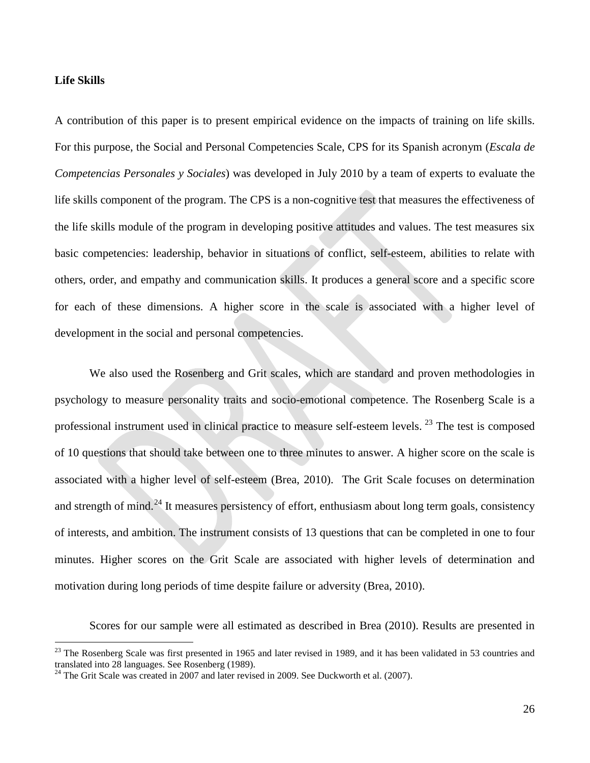#### **Life Skills**

A contribution of this paper is to present empirical evidence on the impacts of training on life skills. For this purpose, the Social and Personal Competencies Scale, CPS for its Spanish acronym (*Escala de Competencias Personales y Sociales*) was developed in July 2010 by a team of experts to evaluate the life skills component of the program. The CPS is a non-cognitive test that measures the effectiveness of the life skills module of the program in developing positive attitudes and values. The test measures six basic competencies: leadership, behavior in situations of conflict, self-esteem, abilities to relate with others, order, and empathy and communication skills. It produces a general score and a specific score for each of these dimensions. A higher score in the scale is associated with a higher level of development in the social and personal competencies.

We also used the Rosenberg and Grit scales, which are standard and proven methodologies in psychology to measure personality traits and socio-emotional competence. The Rosenberg Scale is a professional instrument used in clinical practice to measure self-esteem levels.<sup>[23](#page-26-0)</sup> The test is composed of 10 questions that should take between one to three minutes to answer. A higher score on the scale is associated with a higher level of self-esteem (Brea, 2010). The Grit Scale focuses on determination and strength of mind.<sup>[24](#page-26-1)</sup> It measures persistency of effort, enthusiasm about long term goals, consistency of interests, and ambition. The instrument consists of 13 questions that can be completed in one to four minutes. Higher scores on the Grit Scale are associated with higher levels of determination and motivation during long periods of time despite failure or adversity (Brea, 2010).

Scores for our sample were all estimated as described in Brea (2010). Results are presented in

<span id="page-26-0"></span> $^{23}$  The Rosenberg Scale was first presented in 1965 and later revised in 1989, and it has been validated in 53 countries and translated into 28 languages. See Rosenberg (1989).<br><sup>24</sup> The Grit Scale was created in 2007 and later revised in 2009. See Duckworth et al. (2007).

<span id="page-26-1"></span>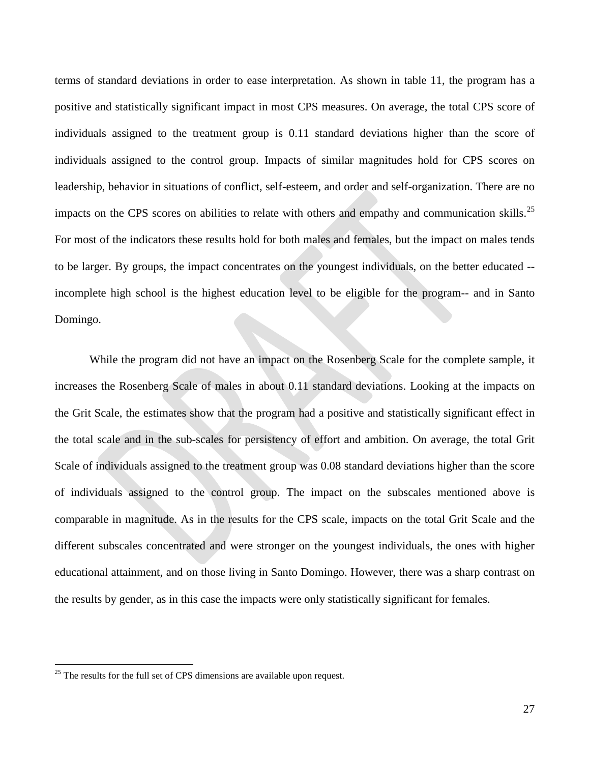terms of standard deviations in order to ease interpretation. As shown in table 11, the program has a positive and statistically significant impact in most CPS measures. On average, the total CPS score of individuals assigned to the treatment group is 0.11 standard deviations higher than the score of individuals assigned to the control group. Impacts of similar magnitudes hold for CPS scores on leadership, behavior in situations of conflict, self-esteem, and order and self-organization. There are no impacts on the CPS scores on abilities to relate with others and empathy and communication skills.<sup>[25](#page-27-0)</sup> For most of the indicators these results hold for both males and females, but the impact on males tends to be larger. By groups, the impact concentrates on the youngest individuals, on the better educated - incomplete high school is the highest education level to be eligible for the program-- and in Santo Domingo.

While the program did not have an impact on the Rosenberg Scale for the complete sample, it increases the Rosenberg Scale of males in about 0.11 standard deviations. Looking at the impacts on the Grit Scale, the estimates show that the program had a positive and statistically significant effect in the total scale and in the sub-scales for persistency of effort and ambition. On average, the total Grit Scale of individuals assigned to the treatment group was 0.08 standard deviations higher than the score of individuals assigned to the control group. The impact on the subscales mentioned above is comparable in magnitude. As in the results for the CPS scale, impacts on the total Grit Scale and the different subscales concentrated and were stronger on the youngest individuals, the ones with higher educational attainment, and on those living in Santo Domingo. However, there was a sharp contrast on the results by gender, as in this case the impacts were only statistically significant for females.

<span id="page-27-0"></span> $25$  The results for the full set of CPS dimensions are available upon request.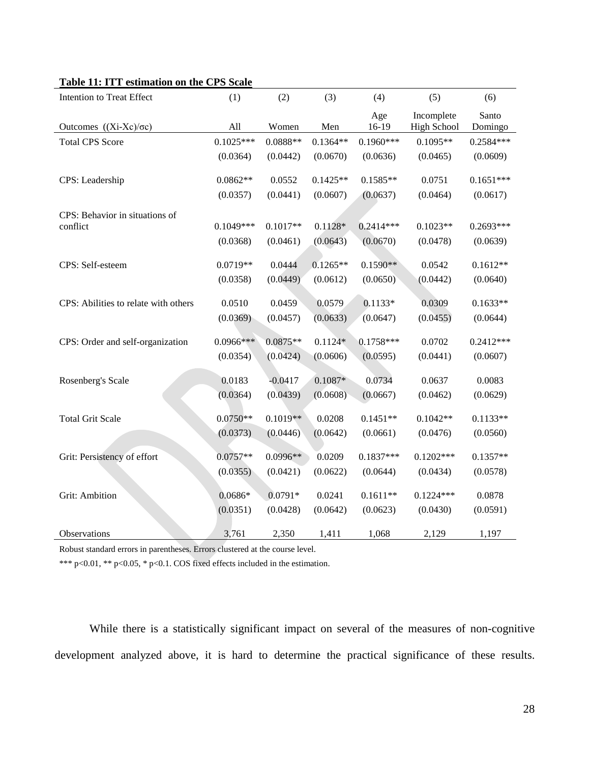|  | Table 11: ITT estimation on the CPS Scale |  |  |
|--|-------------------------------------------|--|--|
|  |                                           |  |  |

| Intention to Treat Effect            | (1)         | (2)        | (3)        | (4)          | (5)                              | (6)              |
|--------------------------------------|-------------|------------|------------|--------------|----------------------------------|------------------|
| Outcomes $((Xi-Xc)/\sigma c)$        | All         | Women      | Men        | Age<br>16-19 | Incomplete<br><b>High School</b> | Santo<br>Domingo |
| <b>Total CPS Score</b>               | $0.1025***$ | $0.0888**$ | $0.1364**$ | $0.1960***$  | $0.1095**$                       | $0.2584***$      |
|                                      | (0.0364)    | (0.0442)   | (0.0670)   | (0.0636)     | (0.0465)                         | (0.0609)         |
| CPS: Leadership                      | $0.0862**$  | 0.0552     | $0.1425**$ | $0.1585**$   | 0.0751                           | $0.1651***$      |
|                                      | (0.0357)    | (0.0441)   | (0.0607)   | (0.0637)     | (0.0464)                         | (0.0617)         |
| CPS: Behavior in situations of       |             |            |            |              |                                  |                  |
| conflict                             | $0.1049***$ | $0.1017**$ | $0.1128*$  | $0.2414***$  | $0.1023**$                       | $0.2693***$      |
|                                      | (0.0368)    | (0.0461)   | (0.0643)   | (0.0670)     | (0.0478)                         | (0.0639)         |
| CPS: Self-esteem                     | $0.0719**$  | 0.0444     | $0.1265**$ | $0.1590**$   | 0.0542                           | $0.1612**$       |
|                                      | (0.0358)    | (0.0449)   | (0.0612)   | (0.0650)     | (0.0442)                         | (0.0640)         |
| CPS: Abilities to relate with others | 0.0510      | 0.0459     | 0.0579     | $0.1133*$    | 0.0309                           | $0.1633**$       |
|                                      | (0.0369)    | (0.0457)   | (0.0633)   | (0.0647)     | (0.0455)                         | (0.0644)         |
| CPS: Order and self-organization     | $0.0966***$ | $0.0875**$ | $0.1124*$  | $0.1758***$  | 0.0702                           | $0.2412***$      |
|                                      | (0.0354)    | (0.0424)   | (0.0606)   | (0.0595)     | (0.0441)                         | (0.0607)         |
| Rosenberg's Scale                    | 0.0183      | $-0.0417$  | $0.1087*$  | 0.0734       | 0.0637                           | 0.0083           |
|                                      | (0.0364)    | (0.0439)   | (0.0608)   | (0.0667)     | (0.0462)                         | (0.0629)         |
| <b>Total Grit Scale</b>              | $0.0750**$  | $0.1019**$ | 0.0208     | $0.1451**$   | $0.1042**$                       | $0.1133**$       |
|                                      | (0.0373)    | (0.0446)   | (0.0642)   | (0.0661)     | (0.0476)                         | (0.0560)         |
| Grit: Persistency of effort          | $0.0757**$  | 0.0996**   | 0.0209     | $0.1837***$  | $0.1202***$                      | $0.1357**$       |
|                                      | (0.0355)    | (0.0421)   | (0.0622)   | (0.0644)     | (0.0434)                         | (0.0578)         |
| <b>Grit: Ambition</b>                | $0.0686*$   | $0.0791*$  | 0.0241     | $0.1611**$   | $0.1224***$                      | 0.0878           |
|                                      | (0.0351)    | (0.0428)   | (0.0642)   | (0.0623)     | (0.0430)                         | (0.0591)         |
| Observations                         | 3,761       | 2,350      | 1,411      | 1,068        | 2,129                            | 1,197            |

Robust standard errors in parentheses. Errors clustered at the course level.

\*\*\* p<0.01, \*\* p<0.05, \* p<0.1. COS fixed effects included in the estimation.

While there is a statistically significant impact on several of the measures of non-cognitive development analyzed above, it is hard to determine the practical significance of these results.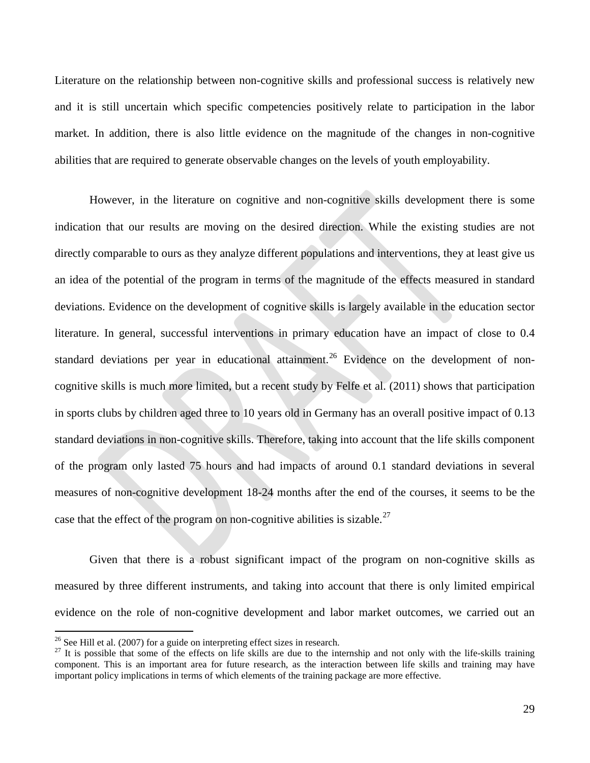Literature on the relationship between non-cognitive skills and professional success is relatively new and it is still uncertain which specific competencies positively relate to participation in the labor market. In addition, there is also little evidence on the magnitude of the changes in non-cognitive abilities that are required to generate observable changes on the levels of youth employability.

However, in the literature on cognitive and non-cognitive skills development there is some indication that our results are moving on the desired direction. While the existing studies are not directly comparable to ours as they analyze different populations and interventions, they at least give us an idea of the potential of the program in terms of the magnitude of the effects measured in standard deviations. Evidence on the development of cognitive skills is largely available in the education sector literature. In general, successful interventions in primary education have an impact of close to 0.4 standard deviations per year in educational attainment.<sup>[26](#page-29-0)</sup> Evidence on the development of noncognitive skills is much more limited, but a recent study by Felfe et al. (2011) shows that participation in sports clubs by children aged three to 10 years old in Germany has an overall positive impact of 0.13 standard deviations in non-cognitive skills. Therefore, taking into account that the life skills component of the program only lasted 75 hours and had impacts of around 0.1 standard deviations in several measures of non-cognitive development 18-24 months after the end of the courses, it seems to be the case that the effect of the program on non-cognitive abilities is sizable.<sup>[27](#page-29-1)</sup>

Given that there is a robust significant impact of the program on non-cognitive skills as measured by three different instruments, and taking into account that there is only limited empirical evidence on the role of non-cognitive development and labor market outcomes, we carried out an

<span id="page-29-1"></span>

<span id="page-29-0"></span><sup>&</sup>lt;sup>26</sup> See Hill et al. (2007) for a guide on interpreting effect sizes in research.<br><sup>27</sup> It is possible that some of the effects on life skills are due to the internship and not only with the life-skills training component. This is an important area for future research, as the interaction between life skills and training may have important policy implications in terms of which elements of the training package are more effective.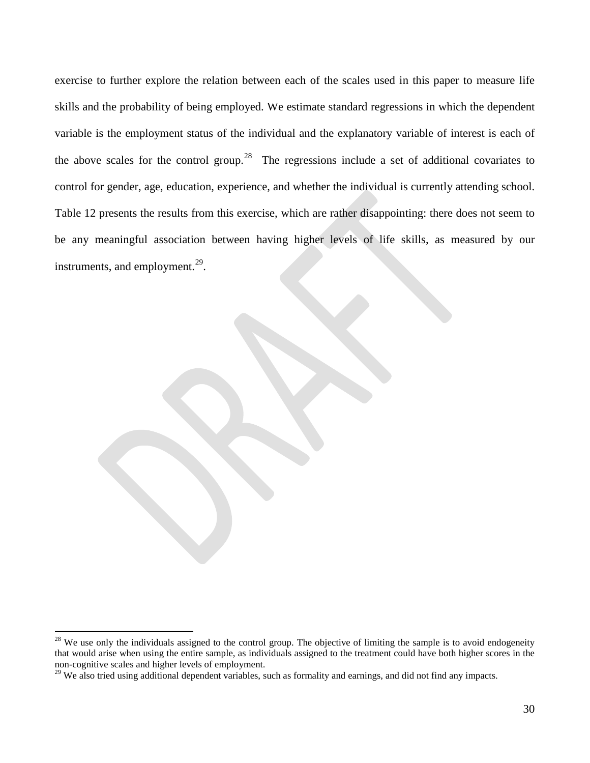exercise to further explore the relation between each of the scales used in this paper to measure life skills and the probability of being employed. We estimate standard regressions in which the dependent variable is the employment status of the individual and the explanatory variable of interest is each of the above scales for the control group.<sup>[28](#page-30-0)</sup> The regressions include a set of additional covariates to control for gender, age, education, experience, and whether the individual is currently attending school. Table 12 presents the results from this exercise, which are rather disappointing: there does not seem to be any meaningful association between having higher levels of life skills, as measured by our instruments, and employment.<sup>29</sup>.

<span id="page-30-0"></span><sup>&</sup>lt;sup>28</sup> We use only the individuals assigned to the control group. The objective of limiting the sample is to avoid endogeneity that would arise when using the entire sample, as individuals assigned to the treatment could have both higher scores in the non-cognitive scales and higher levels of employment.<br><sup>29</sup> We also tried using additional dependent variables, such as formality and earnings, and did not find any impacts.

<span id="page-30-1"></span>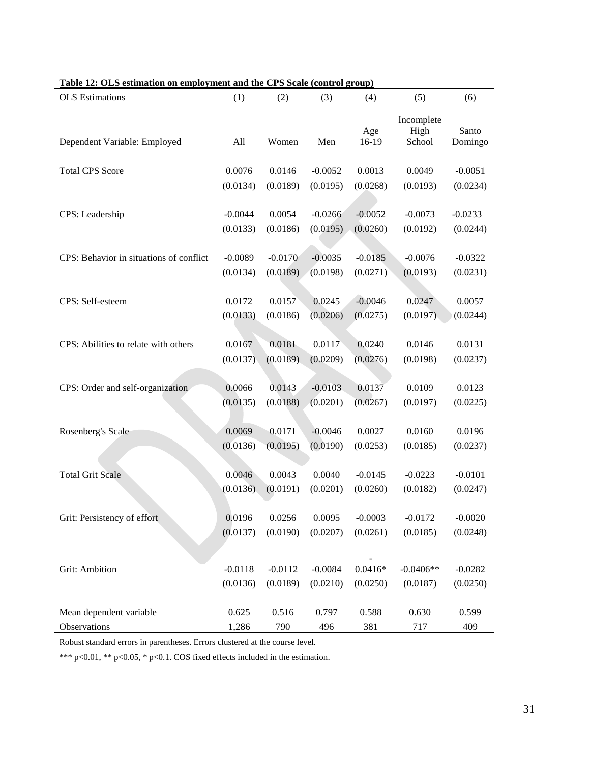| rabic 12. Olis estimation on employment and the Cris istare (control group) |           |           |           |              |                              |                  |
|-----------------------------------------------------------------------------|-----------|-----------|-----------|--------------|------------------------------|------------------|
| <b>OLS</b> Estimations                                                      | (1)       | (2)       | (3)       | (4)          | (5)                          | (6)              |
| Dependent Variable: Employed                                                | All       | Women     | Men       | Age<br>16-19 | Incomplete<br>High<br>School | Santo<br>Domingo |
|                                                                             |           |           |           |              |                              |                  |
| <b>Total CPS Score</b>                                                      | 0.0076    | 0.0146    | $-0.0052$ | 0.0013       | 0.0049                       | $-0.0051$        |
|                                                                             | (0.0134)  | (0.0189)  | (0.0195)  | (0.0268)     | (0.0193)                     | (0.0234)         |
| CPS: Leadership                                                             | $-0.0044$ | 0.0054    | $-0.0266$ |              |                              |                  |
|                                                                             |           |           |           | $-0.0052$    | $-0.0073$                    | $-0.0233$        |
|                                                                             | (0.0133)  | (0.0186)  | (0.0195)  | (0.0260)     | (0.0192)                     | (0.0244)         |
| CPS: Behavior in situations of conflict                                     | $-0.0089$ | $-0.0170$ | $-0.0035$ | $-0.0185$    | $-0.0076$                    | $-0.0322$        |
|                                                                             | (0.0134)  | (0.0189)  | (0.0198)  | (0.0271)     | (0.0193)                     | (0.0231)         |
|                                                                             |           |           |           |              |                              |                  |
| CPS: Self-esteem                                                            | 0.0172    | 0.0157    | 0.0245    | $-0.0046$    | 0.0247                       | 0.0057           |
|                                                                             | (0.0133)  | (0.0186)  | (0.0206)  | (0.0275)     | (0.0197)                     | (0.0244)         |
|                                                                             |           |           |           |              |                              |                  |
| CPS: Abilities to relate with others                                        | 0.0167    | 0.0181    | 0.0117    | 0.0240       | 0.0146                       | 0.0131           |
|                                                                             | (0.0137)  | (0.0189)  | (0.0209)  | (0.0276)     | (0.0198)                     | (0.0237)         |
|                                                                             |           |           |           |              |                              |                  |
| CPS: Order and self-organization                                            | 0.0066    | 0.0143    | $-0.0103$ | 0.0137       | 0.0109                       | 0.0123           |
|                                                                             | (0.0135)  | (0.0188)  | (0.0201)  | (0.0267)     | (0.0197)                     | (0.0225)         |
|                                                                             |           |           |           |              |                              |                  |
| Rosenberg's Scale                                                           | 0.0069    | 0.0171    | $-0.0046$ | 0.0027       | 0.0160                       | 0.0196           |
|                                                                             | (0.0136)  | (0.0195)  | (0.0190)  | (0.0253)     | (0.0185)                     | (0.0237)         |
| <b>Total Grit Scale</b>                                                     | 0.0046    | 0.0043    | 0.0040    | $-0.0145$    | $-0.0223$                    | $-0.0101$        |
|                                                                             | (0.0136)  | (0.0191)  | (0.0201)  | (0.0260)     | (0.0182)                     | (0.0247)         |
|                                                                             |           |           |           |              |                              |                  |
| Grit: Persistency of effort                                                 | 0.0196    | 0.0256    | 0.0095    | $-0.0003$    | $-0.0172$                    | $-0.0020$        |
|                                                                             | (0.0137)  | (0.0190)  | (0.0207)  | (0.0261)     | (0.0185)                     | (0.0248)         |
|                                                                             |           |           |           |              |                              |                  |
|                                                                             |           |           |           |              |                              |                  |
| Grit: Ambition                                                              | $-0.0118$ | $-0.0112$ | $-0.0084$ | $0.0416*$    | $-0.0406**$                  | $-0.0282$        |
|                                                                             | (0.0136)  | (0.0189)  | (0.0210)  | (0.0250)     | (0.0187)                     | (0.0250)         |
| Mean dependent variable                                                     | 0.625     | 0.516     | 0.797     | 0.588        | 0.630                        | 0.599            |
| Observations                                                                | 1,286     | 790       | 496       | 381          | 717                          | 409              |

**Table 12: OLS estimation on employment and the CPS Scale (control group)**

Robust standard errors in parentheses. Errors clustered at the course level.

\*\*\* p<0.01, \*\* p<0.05, \* p<0.1. COS fixed effects included in the estimation.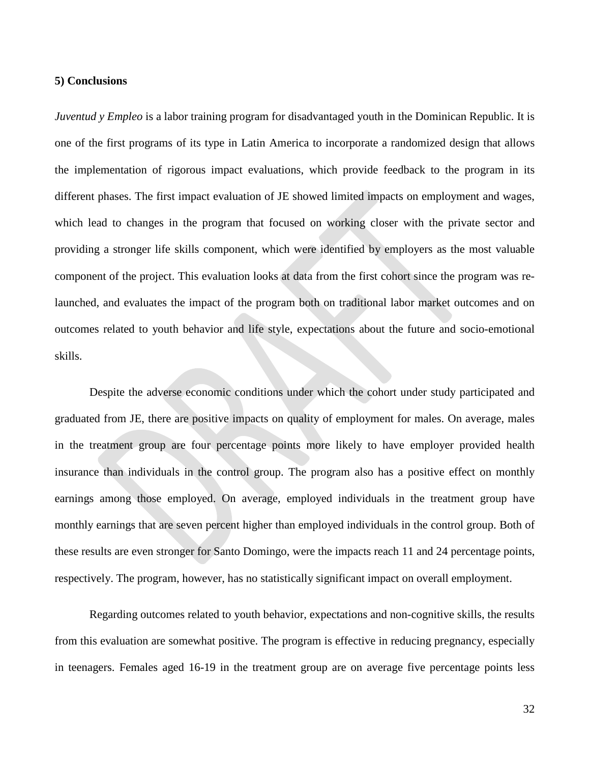#### **5) Conclusions**

*Juventud y Empleo* is a labor training program for disadvantaged youth in the Dominican Republic. It is one of the first programs of its type in Latin America to incorporate a randomized design that allows the implementation of rigorous impact evaluations, which provide feedback to the program in its different phases. The first impact evaluation of JE showed limited impacts on employment and wages, which lead to changes in the program that focused on working closer with the private sector and providing a stronger life skills component, which were identified by employers as the most valuable component of the project. This evaluation looks at data from the first cohort since the program was relaunched, and evaluates the impact of the program both on traditional labor market outcomes and on outcomes related to youth behavior and life style, expectations about the future and socio-emotional skills.

Despite the adverse economic conditions under which the cohort under study participated and graduated from JE, there are positive impacts on quality of employment for males. On average, males in the treatment group are four percentage points more likely to have employer provided health insurance than individuals in the control group. The program also has a positive effect on monthly earnings among those employed. On average, employed individuals in the treatment group have monthly earnings that are seven percent higher than employed individuals in the control group. Both of these results are even stronger for Santo Domingo, were the impacts reach 11 and 24 percentage points, respectively. The program, however, has no statistically significant impact on overall employment.

Regarding outcomes related to youth behavior, expectations and non-cognitive skills, the results from this evaluation are somewhat positive. The program is effective in reducing pregnancy, especially in teenagers. Females aged 16-19 in the treatment group are on average five percentage points less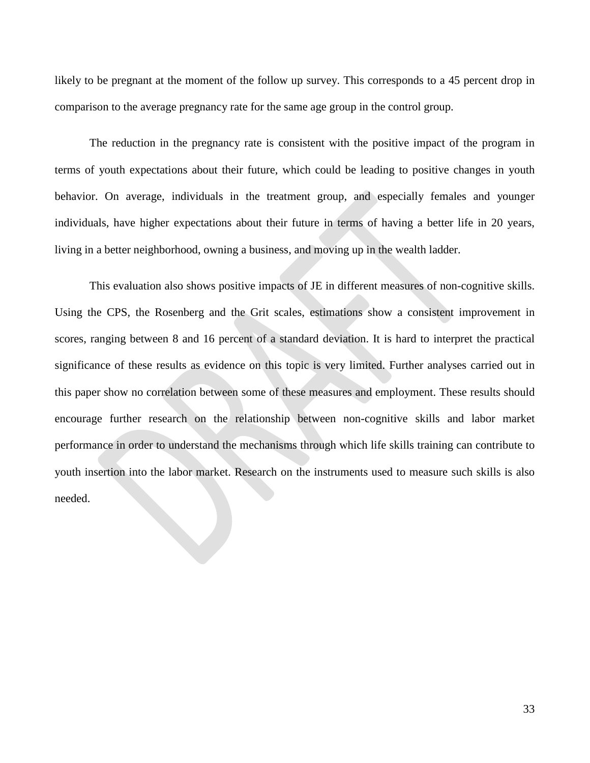likely to be pregnant at the moment of the follow up survey. This corresponds to a 45 percent drop in comparison to the average pregnancy rate for the same age group in the control group.

The reduction in the pregnancy rate is consistent with the positive impact of the program in terms of youth expectations about their future, which could be leading to positive changes in youth behavior. On average, individuals in the treatment group, and especially females and younger individuals, have higher expectations about their future in terms of having a better life in 20 years, living in a better neighborhood, owning a business, and moving up in the wealth ladder.

This evaluation also shows positive impacts of JE in different measures of non-cognitive skills. Using the CPS, the Rosenberg and the Grit scales, estimations show a consistent improvement in scores, ranging between 8 and 16 percent of a standard deviation. It is hard to interpret the practical significance of these results as evidence on this topic is very limited. Further analyses carried out in this paper show no correlation between some of these measures and employment. These results should encourage further research on the relationship between non-cognitive skills and labor market performance in order to understand the mechanisms through which life skills training can contribute to youth insertion into the labor market. Research on the instruments used to measure such skills is also needed.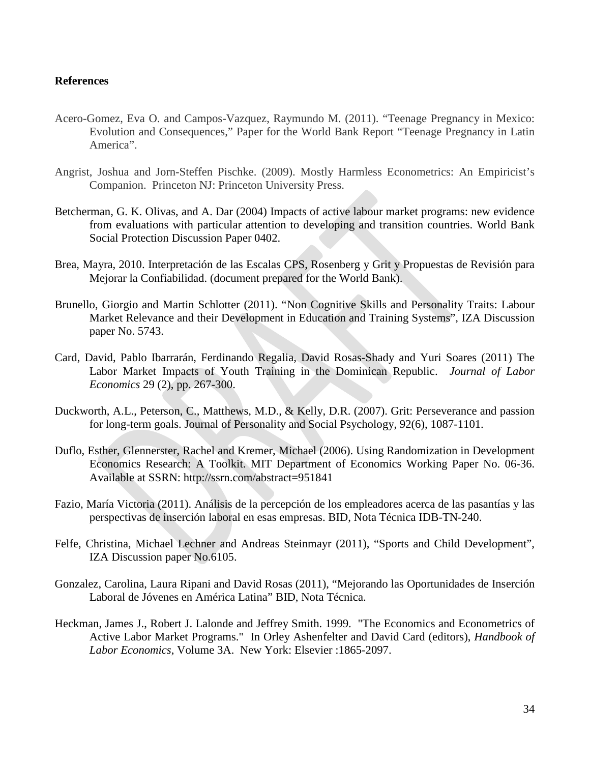#### **References**

- Acero-Gomez, Eva O. and Campos-Vazquez, Raymundo M. (2011). "Teenage Pregnancy in Mexico: Evolution and Consequences," Paper for the World Bank Report "Teenage Pregnancy in Latin America".
- Angrist, Joshua and Jorn-Steffen Pischke. (2009). Mostly Harmless Econometrics: An Empiricist's Companion. Princeton NJ: Princeton University Press.
- Betcherman, G. K. Olivas, and A. Dar (2004) Impacts of active labour market programs: new evidence from evaluations with particular attention to developing and transition countries. World Bank Social Protection Discussion Paper 0402.
- Brea, Mayra, 2010. Interpretación de las Escalas CPS, Rosenberg y Grit y Propuestas de Revisión para Mejorar la Confiabilidad. (document prepared for the World Bank).
- Brunello, Giorgio and Martin Schlotter (2011). "Non Cognitive Skills and Personality Traits: Labour Market Relevance and their Development in Education and Training Systems", IZA Discussion paper No. 5743.
- Card, David, Pablo Ibarrarán, Ferdinando Regalia, David Rosas-Shady and Yuri Soares (2011) The Labor Market Impacts of Youth Training in the Dominican Republic. *Journal of Labor Economics* 29 (2), pp. 267-300.
- Duckworth, A.L., Peterson, C., Matthews, M.D., & Kelly, D.R. (2007). Grit: Perseverance and passion for long-term goals. Journal of Personality and Social Psychology, 92(6), 1087-1101.
- Duflo, Esther, Glennerster, Rachel and Kremer, Michael (2006). Using Randomization in Development Economics Research: A Toolkit. MIT Department of Economics Working Paper No. 06-36. Available at SSRN: http://ssrn.com/abstract=951841
- Fazio, María Victoria (2011). Análisis de la percepción de los empleadores acerca de las pasantías y las perspectivas de inserción laboral en esas empresas. BID, Nota Técnica IDB-TN-240.
- Felfe, Christina, Michael Lechner and Andreas Steinmayr (2011), "Sports and Child Development", IZA Discussion paper No.6105.
- Gonzalez, Carolina, Laura Ripani and David Rosas (2011), "Mejorando las Oportunidades de Inserción Laboral de Jóvenes en América Latina" BID, Nota Técnica.
- Heckman, James J., Robert J. Lalonde and Jeffrey Smith. 1999. "The Economics and Econometrics of Active Labor Market Programs." In Orley Ashenfelter and David Card (editors), *Handbook of Labor Economics*, Volume 3A. New York: Elsevier :1865-2097.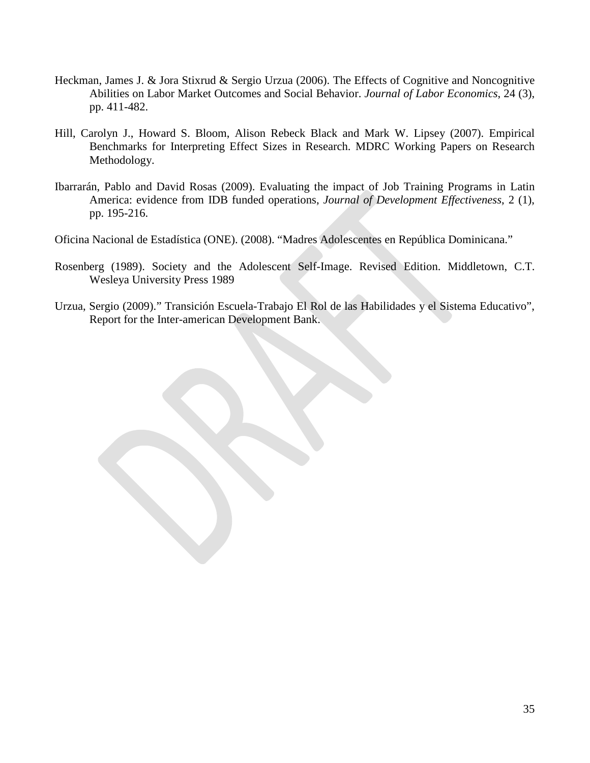- Heckman, James J. & Jora Stixrud & Sergio Urzua (2006). The Effects of Cognitive and Noncognitive Abilities on Labor Market Outcomes and Social Behavior. *Journal of Labor Economics*, 24 (3), pp. 411-482.
- Hill, Carolyn J., Howard S. Bloom, Alison Rebeck Black and Mark W. Lipsey (2007). Empirical Benchmarks for Interpreting Effect Sizes in Research. MDRC Working Papers on Research Methodology.
- Ibarrarán, Pablo and David Rosas (2009). Evaluating the impact of Job Training Programs in Latin America: evidence from IDB funded operations, *Journal of Development Effectiveness*, 2 (1), pp. 195-216.

Oficina Nacional de Estadística (ONE). (2008). "Madres Adolescentes en República Dominicana."

- Rosenberg (1989). Society and the Adolescent Self-Image. Revised Edition. Middletown, C.T. Wesleya University Press 1989
- Urzua, Sergio (2009)." Transición Escuela-Trabajo El Rol de las Habilidades y el Sistema Educativo", Report for the Inter-american Development Bank.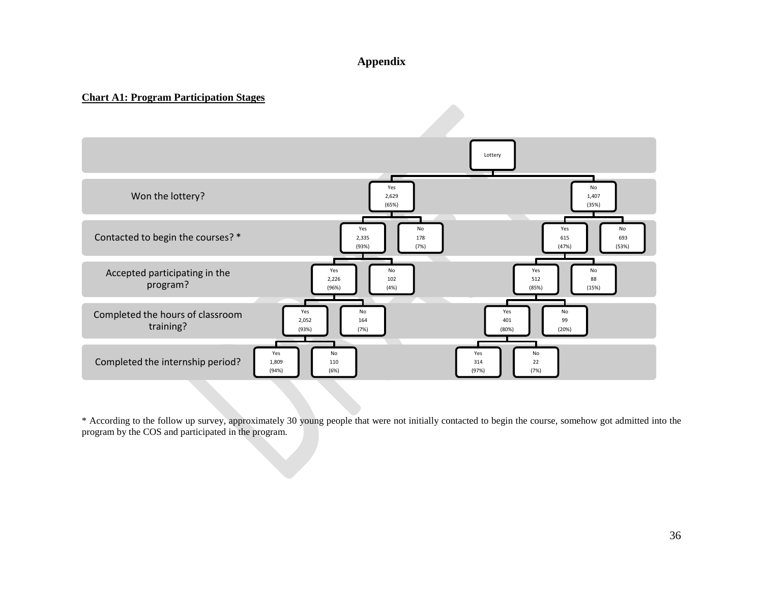### **Appendix**

#### **Chart A1: Program Participation Stages**



\* According to the follow up survey, approximately 30 young people that were not initially contacted to begin the course, somehow got admitted into the program by the COS and participated in the program.